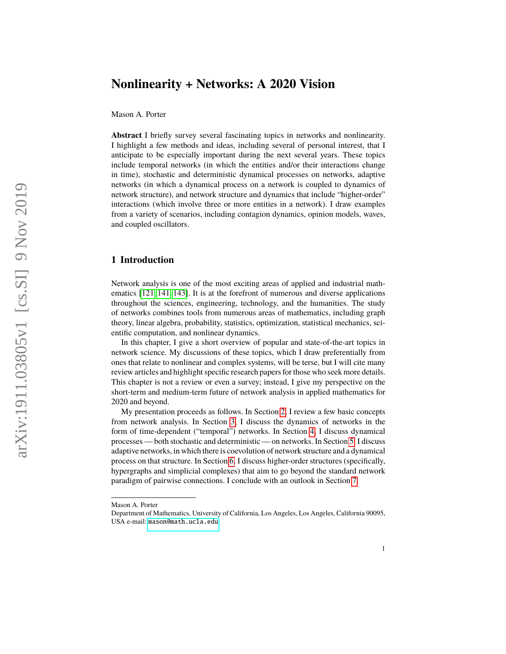# **Nonlinearity + Networks: A 2020 Vision**

Mason A. Porter

**Abstract** I briefly survey several fascinating topics in networks and nonlinearity. I highlight a few methods and ideas, including several of personal interest, that I anticipate to be especially important during the next several years. These topics include temporal networks (in which the entities and/or their interactions change in time), stochastic and deterministic dynamical processes on networks, adaptive networks (in which a dynamical process on a network is coupled to dynamics of network structure), and network structure and dynamics that include "higher-order" interactions (which involve three or more entities in a network). I draw examples from a variety of scenarios, including contagion dynamics, opinion models, waves, and coupled oscillators.

# **1 Introduction**

Network analysis is one of the most exciting areas of applied and industrial mathematics [\[121,](#page-27-0) [141,](#page-28-0) [143\]](#page-28-1). It is at the forefront of numerous and diverse applications throughout the sciences, engineering, technology, and the humanities. The study of networks combines tools from numerous areas of mathematics, including graph theory, linear algebra, probability, statistics, optimization, statistical mechanics, scientific computation, and nonlinear dynamics.

In this chapter, I give a short overview of popular and state-of-the-art topics in network science. My discussions of these topics, which I draw preferentially from ones that relate to nonlinear and complex systems, will be terse, but I will cite many review articles and highlight specific research papers for those who seek more details. This chapter is not a review or even a survey; instead, I give my perspective on the short-term and medium-term future of network analysis in applied mathematics for 2020 and beyond.

My presentation proceeds as follows. In Section [2,](#page-1-0) I review a few basic concepts from network analysis. In Section [3,](#page-1-1) I discuss the dynamics of networks in the form of time-dependent ("temporal") networks. In Section [4,](#page-8-0) I discuss dynamical processes — both stochastic and deterministic — on networks. In Section [5,](#page-15-0) I discuss adaptive networks, in which there is coevolution of network structure and a dynamical process on that structure. In Section [6,](#page-18-0) I discuss higher-order structures (specifically, hypergraphs and simplicial complexes) that aim to go beyond the standard network paradigm of pairwise connections. I conclude with an outlook in Section [7.](#page-22-0)

Mason A. Porter

Department of Mathematics, University of California, Los Angeles, Los Angeles, California 90095, USA e-mail: <mason@math.ucla.edu>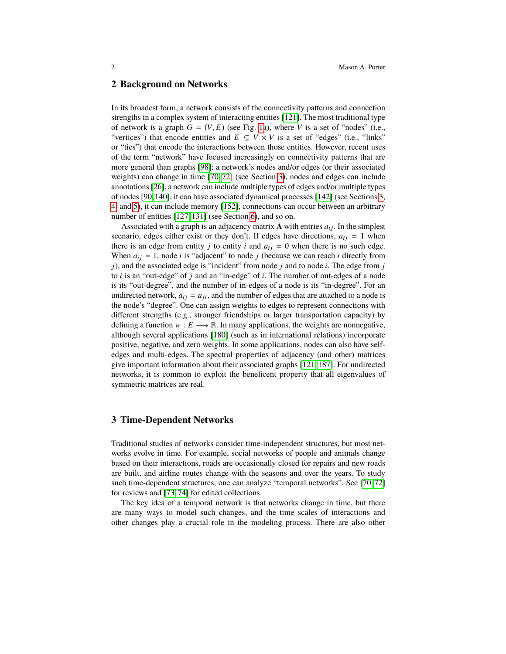#### <span id="page-1-0"></span>**2 Background on Networks**

In its broadest form, a network consists of the connectivity patterns and connection strengths in a complex system of interacting entities [\[121\]](#page-27-0). The most traditional type of network is a graph  $G = (V, E)$  (see Fig. [1a](#page-2-0)), where V is a set of "nodes" (i.e., "vertices") that encode entities and  $E \subseteq V \times V$  is a set of "edges" (i.e., "links" or "ties") that encode the interactions between those entities. However, recent uses of the term "network" have focused increasingly on connectivity patterns that are more general than graphs [\[98\]](#page-26-0): a network's nodes and/or edges (or their associated weights) can change in time [\[70,](#page-25-0) [72\]](#page-26-1) (see Section [3\)](#page-1-1), nodes and edges can include annotations [\[26\]](#page-24-0), a network can include multiple types of edges and/or multiple types of nodes [\[90,](#page-26-2)[140\]](#page-28-2), it can have associated dynamical processes [\[142\]](#page-28-3) (see Sections [3,](#page-1-1) [4,](#page-8-0) and [5\)](#page-15-0), it can include memory [\[152\]](#page-28-4), connections can occur between an arbitrary number of entities [\[127,](#page-28-5) [131\]](#page-28-6) (see Section [6\)](#page-18-0), and so on.

Associated with a graph is an adjacency matrix  $\bf{A}$  with entries  $a_{ij}$ . In the simplest scenario, edges either exist or they don't. If edges have directions,  $a_{ij} = 1$  when there is an edge from entity *j* to entity *i* and  $a_{ij} = 0$  when there is no such edge. When  $a_{ij} = 1$ , node *i* is "adjacent" to node *j* (because we can reach *i* directly from *j*), and the associated edge is "incident" from node *j* and to node *i*. The edge from *j* to *i* is an "out-edge" of *j* and an "in-edge" of *i*. The number of out-edges of a node is its "out-degree", and the number of in-edges of a node is its "in-degree". For an undirected network,  $a_{ij} = a_{ji}$ , and the number of edges that are attached to a node is the node's "degree". One can assign weights to edges to represent connections with different strengths (e.g., stronger friendships or larger transportation capacity) by defining a function  $w : E \longrightarrow \mathbb{R}$ . In many applications, the weights are nonnegative, although several applications [\[180\]](#page-30-0) (such as in international relations) incorporate positive, negative, and zero weights. In some applications, nodes can also have selfedges and multi-edges. The spectral properties of adjacency (and other) matrices give important information about their associated graphs [\[121,](#page-27-0) [187\]](#page-30-1). For undirected networks, it is common to exploit the beneficent property that all eigenvalues of symmetric matrices are real.

# <span id="page-1-1"></span>**3 Time-Dependent Networks**

Traditional studies of networks consider time-independent structures, but most networks evolve in time. For example, social networks of people and animals change based on their interactions, roads are occasionally closed for repairs and new roads are built, and airline routes change with the seasons and over the years. To study such time-dependent structures, one can analyze "temporal networks". See [\[70,](#page-25-0) [72\]](#page-26-1) for reviews and [\[73,](#page-26-3) [74\]](#page-26-4) for edited collections.

The key idea of a temporal network is that networks change in time, but there are many ways to model such changes, and the time scales of interactions and other changes play a crucial role in the modeling process. There are also other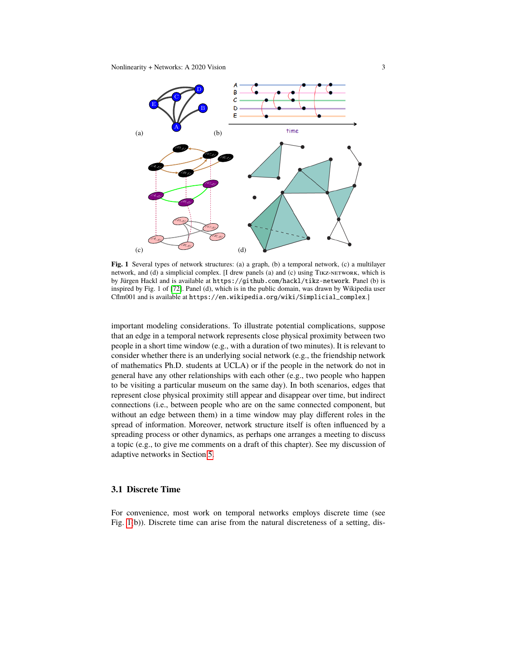

<span id="page-2-0"></span>Fig. 1 Several types of network structures: (a) a graph, (b) a temporal network, (c) a multilayer network, and (d) a simplicial complex. [I drew panels (a) and (c) using TIKZ-NETWORK, which is by Jürgen Hackl and is available at https://github.com/hackl/tikz-network. Panel (b) is inspired by Fig. 1 of [\[72\]](#page-26-1). Panel (d), which is in the public domain, was drawn by Wikipedia user Cflm001 and is available at https://en.wikipedia.org/wiki/Simplicial\_complex.]

1 to be visiting a particular museum on the same day). In both scenarios, edges that important modeling considerations. To illustrate potential complications, suppose that an edge in a temporal network represents close physical proximity between two people in a short time window (e.g., with a duration of two minutes). It is relevant to consider whether there is an underlying social network (e.g., the friendship network of mathematics Ph.D. students at UCLA) or if the people in the network do not in general have any other relationships with each other (e.g., two people who happen represent close physical proximity still appear and disappear over time, but indirect connections (i.e., between people who are on the same connected component, but without an edge between them) in a time window may play different roles in the spread of information. Moreover, network structure itself is often influenced by a spreading process or other dynamics, as perhaps one arranges a meeting to discuss a topic (e.g., to give me comments on a draft of this chapter). See my discussion of adaptive networks in Section [5.](#page-15-0)

#### **3.1 Discrete Time**

For convenience, most work on temporal networks employs discrete time (see Fig. [1\(](#page-2-0)b)). Discrete time can arise from the natural discreteness of a setting, dis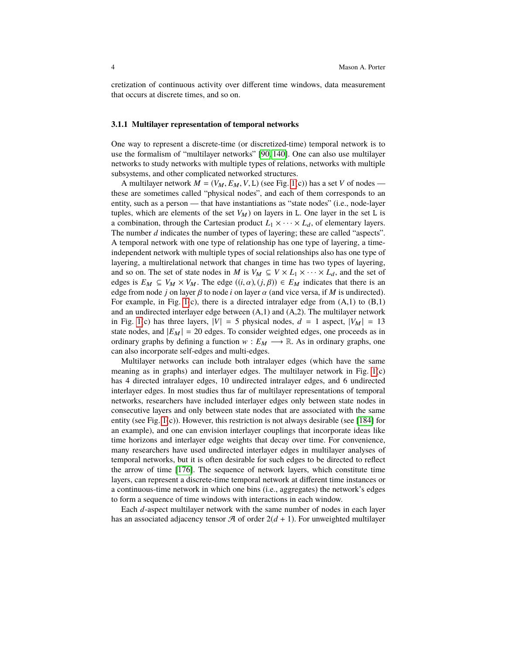cretization of continuous activity over different time windows, data measurement that occurs at discrete times, and so on.

#### **3.1.1 Multilayer representation of temporal networks**

One way to represent a discrete-time (or discretized-time) temporal network is to use the formalism of "multilayer networks" [\[90,](#page-26-2) [140\]](#page-28-2). One can also use multilayer networks to study networks with multiple types of relations, networks with multiple subsystems, and other complicated networked structures.

A multilayer network  $M = (V_M, E_M, V, L)$  (see Fig. [1\(](#page-2-0)c)) has a set *V* of nodes these are sometimes called "physical nodes", and each of them corresponds to an entity, such as a person — that have instantiations as "state nodes" (i.e., node-layer tuples, which are elements of the set  $V_M$ ) on layers in L. One layer in the set L is a combination, through the Cartesian product  $L_1 \times \cdots \times L_d$ , of elementary layers. The number *d* indicates the number of types of layering; these are called "aspects". A temporal network with one type of relationship has one type of layering, a timeindependent network with multiple types of social relationships also has one type of layering, a multirelational network that changes in time has two types of layering, and so on. The set of state nodes in *M* is  $V_M \subseteq V \times L_1 \times \cdots \times L_d$ , and the set of edges is  $E_M \subseteq V_M \times V_M$ . The edge  $((i, \alpha), (j, \beta)) \in E_M$  indicates that there is an edge from node *j* on layer  $\beta$  to node *i* on layer  $\alpha$  (and vice versa, if *M* is undirected). For example, in Fig. [1\(](#page-2-0)c), there is a directed intralayer edge from  $(A,1)$  to  $(B,1)$ and an undirected interlayer edge between (A,1) and (A,2). The multilayer network in Fig. [1\(](#page-2-0)c) has three layers,  $|V| = 5$  physical nodes,  $d = 1$  aspect,  $|V_M| = 13$ state nodes, and  $|E_M| = 20$  edges. To consider weighted edges, one proceeds as in ordinary graphs by defining a function  $w : E_M \longrightarrow \mathbb{R}$ . As in ordinary graphs, one can also incorporate self-edges and multi-edges.

Multilayer networks can include both intralayer edges (which have the same meaning as in graphs) and interlayer edges. The multilayer network in Fig. [1\(](#page-2-0)c) has 4 directed intralayer edges, 10 undirected intralayer edges, and 6 undirected interlayer edges. In most studies thus far of multilayer representations of temporal networks, researchers have included interlayer edges only between state nodes in consecutive layers and only between state nodes that are associated with the same entity (see Fig. [1\(](#page-2-0)c)). However, this restriction is not always desirable (see [\[184\]](#page-30-2) for an example), and one can envision interlayer couplings that incorporate ideas like time horizons and interlayer edge weights that decay over time. For convenience, many researchers have used undirected interlayer edges in multilayer analyses of temporal networks, but it is often desirable for such edges to be directed to reflect the arrow of time [\[176\]](#page-29-0). The sequence of network layers, which constitute time layers, can represent a discrete-time temporal network at different time instances or a continuous-time network in which one bins (i.e., aggregates) the network's edges to form a sequence of time windows with interactions in each window.

Each *d*-aspect multilayer network with the same number of nodes in each layer has an associated adjacency tensor  $\mathcal A$  of order  $2(d + 1)$ . For unweighted multilayer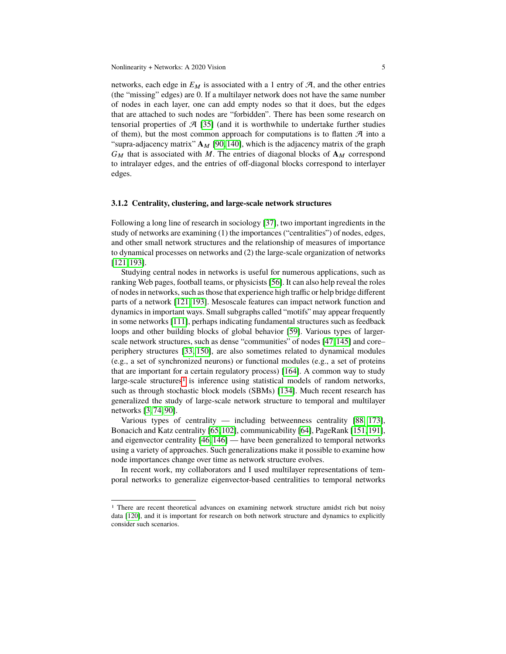networks, each edge in  $E_M$  is associated with a 1 entry of  $A$ , and the other entries (the "missing" edges) are 0. If a multilayer network does not have the same number of nodes in each layer, one can add empty nodes so that it does, but the edges that are attached to such nodes are "forbidden". There has been some research on tensorial properties of  $\mathcal{A}$  [\[35\]](#page-24-1) (and it is worthwhile to undertake further studies of them), but the most common approach for computations is to flatten  $\mathcal A$  into a "supra-adjacency matrix"  $A_M$  [\[90,](#page-26-2) [140\]](#page-28-2), which is the adjacency matrix of the graph  $G_M$  that is associated with M. The entries of diagonal blocks of  $A_M$  correspond to intralayer edges, and the entries of off-diagonal blocks correspond to interlayer edges.

#### **3.1.2 Centrality, clustering, and large-scale network structures**

Following a long line of research in sociology [\[37\]](#page-24-2), two important ingredients in the study of networks are examining (1) the importances ("centralities") of nodes, edges, and other small network structures and the relationship of measures of importance to dynamical processes on networks and (2) the large-scale organization of networks [\[121,](#page-27-0) [193\]](#page-30-3).

Studying central nodes in networks is useful for numerous applications, such as ranking Web pages, football teams, or physicists [\[56\]](#page-25-1). It can also help reveal the roles of nodes in networks, such as those that experience high traffic or help bridge different parts of a network [\[121,](#page-27-0) [193\]](#page-30-3). Mesoscale features can impact network function and dynamics in important ways. Small subgraphs called "motifs" may appear frequently in some networks [\[111\]](#page-27-1), perhaps indicating fundamental structures such as feedback loops and other building blocks of global behavior [\[59\]](#page-25-2). Various types of largerscale network structures, such as dense "communities" of nodes [\[47,](#page-25-3) [145\]](#page-28-7) and core– periphery structures [\[33,](#page-24-3) [150\]](#page-28-8), are also sometimes related to dynamical modules (e.g., a set of synchronized neurons) or functional modules (e.g., a set of proteins that are important for a certain regulatory process) [\[164\]](#page-29-1). A common way to study large-scale structures<sup>[1](#page-4-0)</sup> is inference using statistical models of random networks, such as through stochastic block models (SBMs) [\[134\]](#page-28-9). Much recent research has generalized the study of large-scale network structure to temporal and multilayer networks [\[3,](#page-23-0) [74,](#page-26-4) [90\]](#page-26-2).

Various types of centrality — including betweenness centrality [\[88,](#page-26-5) [173\]](#page-29-2), Bonacich and Katz centrality [\[65,](#page-25-4)[102\]](#page-27-2), communicability [\[64\]](#page-25-5), PageRank [\[151,](#page-28-10)[191\]](#page-30-4), and eigenvector centrality [\[46,](#page-25-6) [146\]](#page-28-11) — have been generalized to temporal networks using a variety of approaches. Such generalizations make it possible to examine how node importances change over time as network structure evolves.

In recent work, my collaborators and I used multilayer representations of temporal networks to generalize eigenvector-based centralities to temporal networks

<span id="page-4-0"></span><sup>&</sup>lt;sup>1</sup> There are recent theoretical advances on examining network structure amidst rich but noisy data [\[120\]](#page-27-3), and it is important for research on both network structure and dynamics to explicitly consider such scenarios.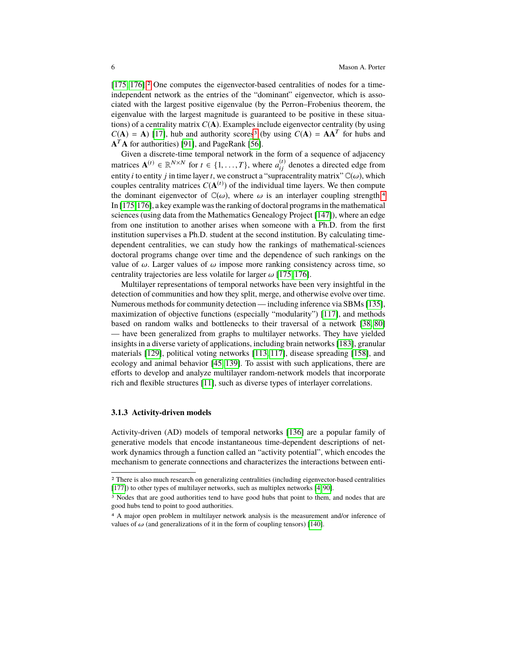[\[175,](#page-29-3) [176\]](#page-29-0).[2](#page-5-0) One computes the eigenvector-based centralities of nodes for a timeindependent network as the entries of the "dominant" eigenvector, which is associated with the largest positive eigenvalue (by the Perron–Frobenius theorem, the eigenvalue with the largest magnitude is guaranteed to be positive in these situations) of a centrality matrix *C*(**A**). Examples include eigenvector centrality (by using  $C(A) = A$ ) [\[17\]](#page-23-1), hub and authority scores<sup>[3](#page-5-1)</sup> (by using  $C(A) = AA^T$  for hubs and **A** <sup>T</sup>**A** for authorities) [\[91\]](#page-26-6), and PageRank [\[56\]](#page-25-1).

Given a discrete-time temporal network in the form of a sequence of adjacency matrices  $\mathbf{A}^{(t)} \in \mathbb{R}^{N \times N}$  for  $t \in \{1, ..., T\}$ , where  $a_{ij}^{(t)}$  denotes a directed edge from entity *i* to entity *j* in time layer *t*, we construct a "supracentrality matrix"  $\mathbb{C}(\omega)$ , which couples centrality matrices  $C(\mathbf{A}^{(t)})$  of the individual time layers. We then compute the dominant eigenvector of  $\mathbb{C}(\omega)$ , where  $\omega$  is an interlayer coupling strength.<sup>[4](#page-5-2)</sup> In [\[175,](#page-29-3)[176\]](#page-29-0), a key example was the ranking of doctoral programs in the mathematical sciences (using data from the Mathematics Genealogy Project [\[147\]](#page-28-12)), where an edge from one institution to another arises when someone with a Ph.D. from the first institution supervises a Ph.D. student at the second institution. By calculating timedependent centralities, we can study how the rankings of mathematical-sciences doctoral programs change over time and the dependence of such rankings on the value of  $\omega$ . Larger values of  $\omega$  impose more ranking consistency across time, so centrality trajectories are less volatile for larger  $\omega$  [\[175,](#page-29-3) [176\]](#page-29-0).

Multilayer representations of temporal networks have been very insightful in the detection of communities and how they split, merge, and otherwise evolve over time. Numerous methods for community detection — including inference via SBMs [\[135\]](#page-28-13), maximization of objective functions (especially "modularity") [\[117\]](#page-27-4), and methods based on random walks and bottlenecks to their traversal of a network [\[38,](#page-24-4) [80\]](#page-26-7) — have been generalized from graphs to multilayer networks. They have yielded insights in a diverse variety of applications, including brain networks [\[183\]](#page-30-5), granular materials [\[129\]](#page-28-14), political voting networks [\[113,](#page-27-5) [117\]](#page-27-4), disease spreading [\[158\]](#page-29-4), and ecology and animal behavior [\[45,](#page-25-7) [139\]](#page-28-15). To assist with such applications, there are efforts to develop and analyze multilayer random-network models that incorporate rich and flexible structures [\[11\]](#page-23-2), such as diverse types of interlayer correlations.

#### <span id="page-5-3"></span>**3.1.3 Activity-driven models**

Activity-driven (AD) models of temporal networks [\[136\]](#page-28-16) are a popular family of generative models that encode instantaneous time-dependent descriptions of network dynamics through a function called an "activity potential", which encodes the mechanism to generate connections and characterizes the interactions between enti-

<span id="page-5-0"></span><sup>2</sup> There is also much research on generalizing centralities (including eigenvector-based centralities [\[177\]](#page-29-5)) to other types of multilayer networks, such as multiplex networks [\[4,](#page-23-3) [90\]](#page-26-2).

<span id="page-5-1"></span><sup>&</sup>lt;sup>3</sup> Nodes that are good authorities tend to have good hubs that point to them, and nodes that are good hubs tend to point to good authorities.

<span id="page-5-2"></span><sup>4</sup> A major open problem in multilayer network analysis is the measurement and/or inference of values of  $\omega$  (and generalizations of it in the form of coupling tensors) [\[140\]](#page-28-2).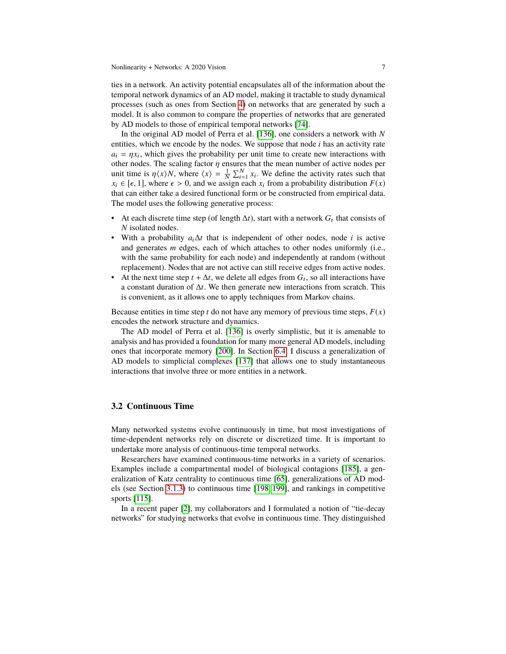ties in a network. An activity potential encapsulates all of the information about the temporal network dynamics of an AD model, making it tractable to study dynamical processes (such as ones from Section [4\)](#page-8-0) on networks that are generated by such a model. It is also common to compare the properties of networks that are generated by AD models to those of empirical temporal networks [\[74\]](#page-26-4).

In the original AD model of Perra et al. [\[136\]](#page-28-16), one considers a network with *N* entities, which we encode by the nodes. We suppose that node *i* has an activity rate  $a_i = \eta x_i$ , which gives the probability per unit time to create new interactions with other nodes. The scaling factor *n* ensures that the mean number of active nodes per other nodes. The scaling factor  $\eta$  ensures that the mean number of active nodes per unit time is  $\eta\langle x \rangle N$ , where  $\langle x \rangle = \frac{1}{N} \sum_{i=1}^{N} x_i$ . We define the activity rates such that  $x_i \in [\epsilon, 1]$  where  $\epsilon > 0$  and we assign each x, from a probability distribution  $F(x)$  $x_i \in [\epsilon, 1]$ , where  $\epsilon > 0$ , and we assign each  $x_i$  from a probability distribution  $F(x)$ that can either take a desired functional form or be constructed from empirical data. The model uses the following generative process:

- At each discrete time step (of length  $\Delta t$ ), start with a network  $G_t$  that consists of *N* isolated nodes.
- With a probability *a*i∆*t* that is independent of other nodes, node *i* is active and generates *m* edges, each of which attaches to other nodes uniformly (i.e., with the same probability for each node) and independently at random (without replacement). Nodes that are not active can still receive edges from active nodes.
- At the next time step  $t + \Delta t$ , we delete all edges from  $G_t$ , so all interactions have a constant duration of ∆*t*. We then generate new interactions from scratch. This is convenient, as it allows one to apply techniques from Markov chains.

Because entities in time step *t* do not have any memory of previous time steps,  $F(x)$ encodes the network structure and dynamics.

The AD model of Perra et al. [\[136\]](#page-28-16) is overly simplistic, but it is amenable to analysis and has provided a foundation for many more general AD models, including ones that incorporate memory [\[200\]](#page-30-6). In Section [6.4,](#page-21-0) I discuss a generalization of AD models to simplicial complexes [\[137\]](#page-28-17) that allows one to study instantaneous interactions that involve three or more entities in a network.

#### **3.2 Continuous Time**

Many networked systems evolve continuously in time, but most investigations of time-dependent networks rely on discrete or discretized time. It is important to undertake more analysis of continuous-time temporal networks.

Researchers have examined continuous-time networks in a variety of scenarios. Examples include a compartmental model of biological contagions [\[185\]](#page-30-7), a generalization of Katz centrality to continuous time [\[65\]](#page-25-4), generalizations of AD models (see Section [3.1.3\)](#page-5-3) to continuous time [\[198,](#page-30-8) [199\]](#page-30-9), and rankings in competitive sports [\[115\]](#page-27-6).

In a recent paper [\[2\]](#page-23-4), my collaborators and I formulated a notion of "tie-decay networks" for studying networks that evolve in continuous time. They distinguished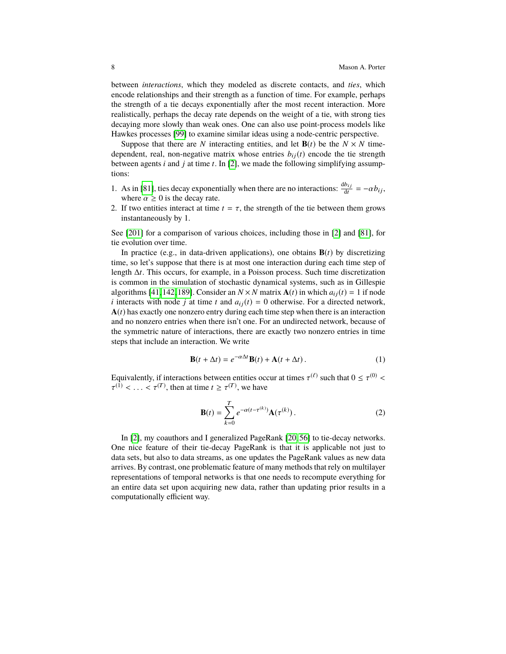between *interactions*, which they modeled as discrete contacts, and *ties*, which encode relationships and their strength as a function of time. For example, perhaps the strength of a tie decays exponentially after the most recent interaction. More realistically, perhaps the decay rate depends on the weight of a tie, with strong ties decaying more slowly than weak ones. One can also use point-process models like Hawkes processes [\[99\]](#page-27-7) to examine similar ideas using a node-centric perspective.

Suppose that there are *N* interacting entities, and let  $\mathbf{B}(t)$  be the  $N \times N$  timedependent, real, non-negative matrix whose entries  $b_{ij}(t)$  encode the tie strength between agents *i* and *j* at time *t*. In [\[2\]](#page-23-4), we made the following simplifying assumptions:

- 1. As in [\[81\]](#page-26-8), ties decay exponentially when there are no interactions:  $\frac{db_{ij}}{dt} = -\alpha b_{ij}$ , where  $\alpha > 0$  is the decay rate where  $\alpha \geq 0$  is the decay rate.
- 2. If two entities interact at time  $t = \tau$ , the strength of the tie between them grows instantaneously by 1.

See [\[201\]](#page-30-10) for a comparison of various choices, including those in [\[2\]](#page-23-4) and [\[81\]](#page-26-8), for tie evolution over time.

In practice (e.g., in data-driven applications), one obtains  $\mathbf{B}(t)$  by discretizing time, so let's suppose that there is at most one interaction during each time step of length ∆*t*. This occurs, for example, in a Poisson process. Such time discretization is common in the simulation of stochastic dynamical systems, such as in Gillespie algorithms [\[41,](#page-24-5) [142,](#page-28-3) [189\]](#page-30-11). Consider an  $N \times N$  matrix  $A(t)$  in which  $a_{ij}(t) = 1$  if node *i* interacts with node *j* at time *t* and  $a_{ij}(t) = 0$  otherwise. For a directed network,  $A(t)$  has exactly one nonzero entry during each time step when there is an interaction and no nonzero entries when there isn't one. For an undirected network, because of the symmetric nature of interactions, there are exactly two nonzero entries in time steps that include an interaction. We write

$$
\mathbf{B}(t + \Delta t) = e^{-\alpha \Delta t} \mathbf{B}(t) + \mathbf{A}(t + \Delta t).
$$
 (1)

Equivalently, if interactions between entities occur at times  $\tau^{(\ell)}$  such that  $0 \le \tau^{(0)}$ <br>  $\tau^{(1)}$   $\le \tau^{(T)}$  then at time  $t > \tau^{(T)}$  we have  $(1) < \ldots < \tau^{(T)}$ , then at time  $t \geq \tau^{(T)}$ , we have

$$
\mathbf{B}(t) = \sum_{k=0}^{T} e^{-\alpha(t - \tau^{(k)})} \mathbf{A}(\tau^{(k)}) .
$$
 (2)

In [\[2\]](#page-23-4), my coauthors and I generalized PageRank [\[20,](#page-24-6) [56\]](#page-25-1) to tie-decay networks. One nice feature of their tie-decay PageRank is that it is applicable not just to data sets, but also to data streams, as one updates the PageRank values as new data arrives. By contrast, one problematic feature of many methods that rely on multilayer representations of temporal networks is that one needs to recompute everything for an entire data set upon acquiring new data, rather than updating prior results in a computationally efficient way.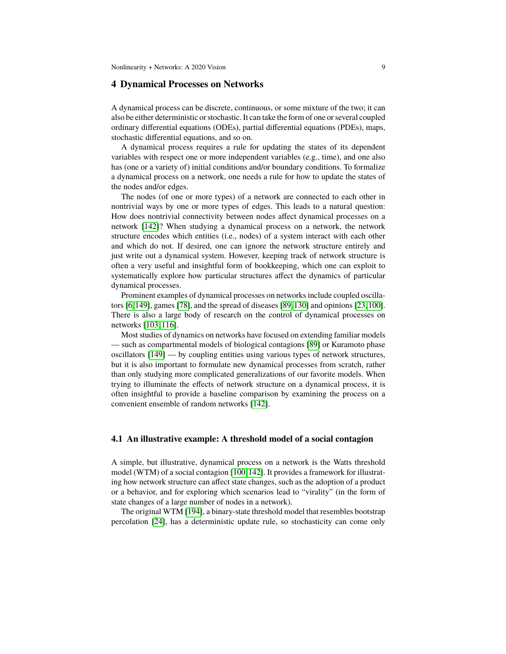# <span id="page-8-0"></span>**4 Dynamical Processes on Networks**

A dynamical process can be discrete, continuous, or some mixture of the two; it can also be either deterministic or stochastic. It can take the form of one or several coupled ordinary differential equations (ODEs), partial differential equations (PDEs), maps, stochastic differential equations, and so on.

A dynamical process requires a rule for updating the states of its dependent variables with respect one or more independent variables (e.g., time), and one also has (one or a variety of) initial conditions and/or boundary conditions. To formalize a dynamical process on a network, one needs a rule for how to update the states of the nodes and/or edges.

The nodes (of one or more types) of a network are connected to each other in nontrivial ways by one or more types of edges. This leads to a natural question: How does nontrivial connectivity between nodes affect dynamical processes on a network [\[142\]](#page-28-3)? When studying a dynamical process on a network, the network structure encodes which entities (i.e., nodes) of a system interact with each other and which do not. If desired, one can ignore the network structure entirely and just write out a dynamical system. However, keeping track of network structure is often a very useful and insightful form of bookkeeping, which one can exploit to systematically explore how particular structures affect the dynamics of particular dynamical processes.

Prominent examples of dynamical processes on networks include coupled oscillators [\[6,](#page-23-5)[149\]](#page-28-18), games [\[78\]](#page-26-9), and the spread of diseases [\[89,](#page-26-10)[130\]](#page-28-19) and opinions [\[23,](#page-24-7)[100\]](#page-27-8). There is also a large body of research on the control of dynamical processes on networks [\[103,](#page-27-9) [116\]](#page-27-10).

Most studies of dynamics on networks have focused on extending familiar models — such as compartmental models of biological contagions [\[89\]](#page-26-10) or Kuramoto phase oscillators [\[149\]](#page-28-18) — by coupling entities using various types of network structures, but it is also important to formulate new dynamical processes from scratch, rather than only studying more complicated generalizations of our favorite models. When trying to illuminate the effects of network structure on a dynamical process, it is often insightful to provide a baseline comparison by examining the process on a convenient ensemble of random networks [\[142\]](#page-28-3).

#### **4.1 An illustrative example: A threshold model of a social contagion**

A simple, but illustrative, dynamical process on a network is the Watts threshold model (WTM) of a social contagion [\[100,](#page-27-8)[142\]](#page-28-3). It provides a framework for illustrating how network structure can affect state changes, such as the adoption of a product or a behavior, and for exploring which scenarios lead to "virality" (in the form of state changes of a large number of nodes in a network).

The original WTM [\[194\]](#page-30-12), a binary-state threshold model that resembles bootstrap percolation [\[24\]](#page-24-8), has a deterministic update rule, so stochasticity can come only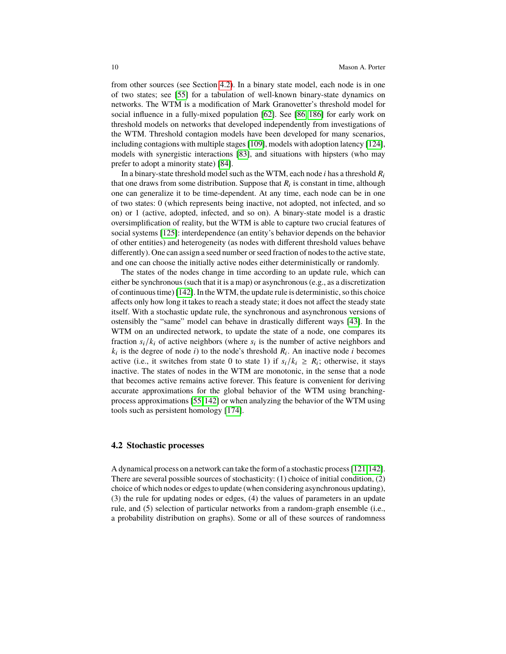from other sources (see Section [4.2\)](#page-9-0). In a binary state model, each node is in one of two states; see [\[55\]](#page-25-8) for a tabulation of well-known binary-state dynamics on networks. The WTM is a modification of Mark Granovetter's threshold model for social influence in a fully-mixed population [\[62\]](#page-25-9). See [\[86,](#page-26-11) [186\]](#page-30-13) for early work on threshold models on networks that developed independently from investigations of the WTM. Threshold contagion models have been developed for many scenarios, including contagions with multiple stages [\[109\]](#page-27-11), models with adoption latency [\[124\]](#page-27-12), models with synergistic interactions [\[83\]](#page-26-12), and situations with hipsters (who may prefer to adopt a minority state) [\[84\]](#page-26-13).

In a binary-state threshold model such as the WTM, each node *i* has a threshold *R*<sup>i</sup> that one draws from some distribution. Suppose that  $R_i$  is constant in time, although one can generalize it to be time-dependent. At any time, each node can be in one of two states: 0 (which represents being inactive, not adopted, not infected, and so on) or 1 (active, adopted, infected, and so on). A binary-state model is a drastic oversimplification of reality, but the WTM is able to capture two crucial features of social systems [\[125\]](#page-27-13): interdependence (an entity's behavior depends on the behavior of other entities) and heterogeneity (as nodes with different threshold values behave differently). One can assign a seed number or seed fraction of nodes to the active state, and one can choose the initially active nodes either deterministically or randomly.

The states of the nodes change in time according to an update rule, which can either be synchronous (such that it is a map) or asynchronous (e.g., as a discretization of continuous time) [\[142\]](#page-28-3). In the WTM, the update rule is deterministic, so this choice affects only how long it takes to reach a steady state; it does not affect the steady state itself. With a stochastic update rule, the synchronous and asynchronous versions of ostensibly the "same" model can behave in drastically different ways [\[43\]](#page-24-9). In the WTM on an undirected network, to update the state of a node, one compares its fraction  $s_i/k_i$  of active neighbors (where  $s_i$  is the number of active neighbors and  $k_i$  is the degree of node *i*) to the node's threshold  $R_i$ . An inactive node *i* becomes active (i.e., it switches from state 0 to state 1) if  $s_i/k_i \geq R_i$ ; otherwise, it stays inactive. The states of nodes in the WTM are monotonic, in the sense that a node that becomes active remains active forever. This feature is convenient for deriving accurate approximations for the global behavior of the WTM using branchingprocess approximations [\[55,](#page-25-8)[142\]](#page-28-3) or when analyzing the behavior of the WTM using tools such as persistent homology [\[174\]](#page-29-6).

## <span id="page-9-0"></span>**4.2 Stochastic processes**

A dynamical process on a network can take the form of a stochastic process [\[121,](#page-27-0)[142\]](#page-28-3). There are several possible sources of stochasticity: (1) choice of initial condition, (2) choice of which nodes or edges to update (when considering asynchronous updating), (3) the rule for updating nodes or edges, (4) the values of parameters in an update rule, and (5) selection of particular networks from a random-graph ensemble (i.e., a probability distribution on graphs). Some or all of these sources of randomness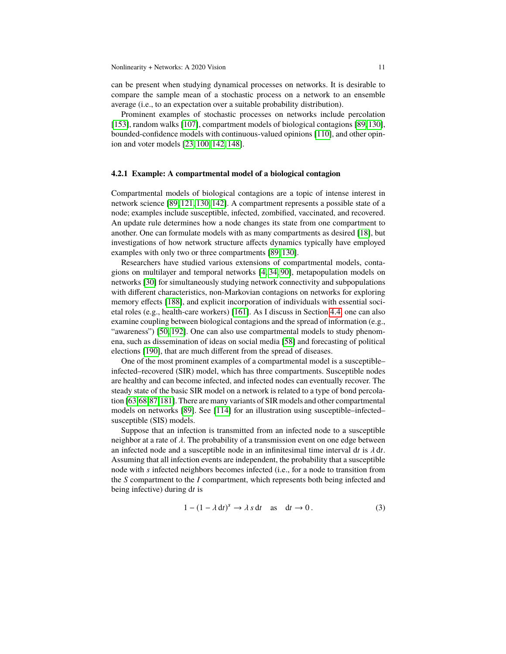can be present when studying dynamical processes on networks. It is desirable to compare the sample mean of a stochastic process on a network to an ensemble average (i.e., to an expectation over a suitable probability distribution).

Prominent examples of stochastic processes on networks include percolation [\[153\]](#page-28-20), random walks [\[107\]](#page-27-14), compartment models of biological contagions [\[89,](#page-26-10)[130\]](#page-28-19), bounded-confidence models with continuous-valued opinions [\[110\]](#page-27-15), and other opinion and voter models [\[23,](#page-24-7) [100,](#page-27-8) [142,](#page-28-3) [148\]](#page-28-21).

#### **4.2.1 Example: A compartmental model of a biological contagion**

Compartmental models of biological contagions are a topic of intense interest in network science [\[89,](#page-26-10) [121,](#page-27-0) [130,](#page-28-19) [142\]](#page-28-3). A compartment represents a possible state of a node; examples include susceptible, infected, zombified, vaccinated, and recovered. An update rule determines how a node changes its state from one compartment to another. One can formulate models with as many compartments as desired [\[18\]](#page-24-10), but investigations of how network structure affects dynamics typically have employed examples with only two or three compartments [\[89,](#page-26-10) [130\]](#page-28-19).

Researchers have studied various extensions of compartmental models, contagions on multilayer and temporal networks [\[4,](#page-23-3) [34,](#page-24-11) [90\]](#page-26-2), metapopulation models on networks [\[30\]](#page-24-12) for simultaneously studying network connectivity and subpopulations with different characteristics, non-Markovian contagions on networks for exploring memory effects [\[188\]](#page-30-14), and explicit incorporation of individuals with essential societal roles (e.g., health-care workers) [\[161\]](#page-29-7). As I discuss in Section [4.4,](#page-12-0) one can also examine coupling between biological contagions and the spread of information (e.g., "awareness") [\[50,](#page-25-10) [192\]](#page-30-15). One can also use compartmental models to study phenomena, such as dissemination of ideas on social media [\[58\]](#page-25-11) and forecasting of political elections [\[190\]](#page-30-16), that are much different from the spread of diseases.

One of the most prominent examples of a compartmental model is a susceptible– infected–recovered (SIR) model, which has three compartments. Susceptible nodes are healthy and can become infected, and infected nodes can eventually recover. The steady state of the basic SIR model on a network is related to a type of bond percolation [\[63,](#page-25-12)[68,](#page-25-13)[87,](#page-26-14)[181\]](#page-30-17). There are many variants of SIR models and other compartmental models on networks [\[89\]](#page-26-10). See [\[114\]](#page-27-16) for an illustration using susceptible–infected– susceptible (SIS) models.

Suppose that an infection is transmitted from an infected node to a susceptible neighbor at a rate of  $\lambda$ . The probability of a transmission event on one edge between an infected node and a susceptible node in an infinitesimal time interval <sup>d</sup>*<sup>t</sup>* is λ <sup>d</sup>*t*. Assuming that all infection events are independent, the probability that a susceptible node with *s* infected neighbors becomes infected (i.e., for a node to transition from the *S* compartment to the *I* compartment, which represents both being infected and being infective) during d*t* is

$$
1 - (1 - \lambda \, dt)^s \to \lambda \, s \, dt \quad \text{as} \quad dt \to 0 \,. \tag{3}
$$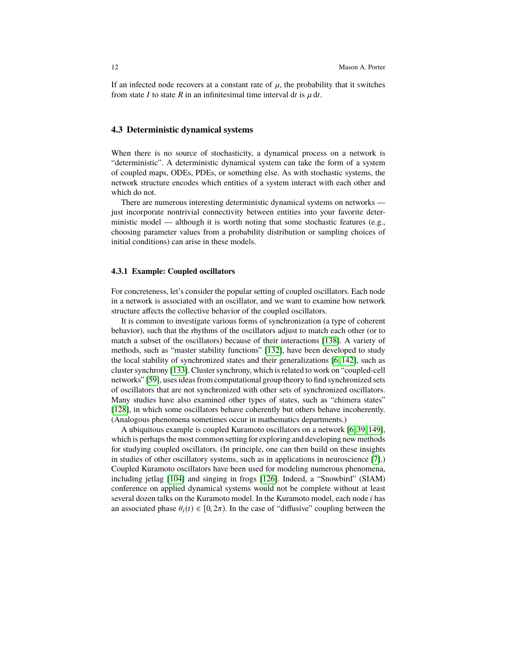If an infected node recovers at a constant rate of  $\mu$ , the probability that it switches from state *I* to state *R* in an infinitesimal time interval dt is  $\mu$  dt.

#### **4.3 Deterministic dynamical systems**

When there is no source of stochasticity, a dynamical process on a network is "deterministic". A deterministic dynamical system can take the form of a system of coupled maps, ODEs, PDEs, or something else. As with stochastic systems, the network structure encodes which entities of a system interact with each other and which do not.

There are numerous interesting deterministic dynamical systems on networks just incorporate nontrivial connectivity between entities into your favorite deterministic model — although it is worth noting that some stochastic features (e.g., choosing parameter values from a probability distribution or sampling choices of initial conditions) can arise in these models.

#### **4.3.1 Example: Coupled oscillators**

For concreteness, let's consider the popular setting of coupled oscillators. Each node in a network is associated with an oscillator, and we want to examine how network structure affects the collective behavior of the coupled oscillators.

It is common to investigate various forms of synchronization (a type of coherent behavior), such that the rhythms of the oscillators adjust to match each other (or to match a subset of the oscillators) because of their interactions [\[138\]](#page-28-22). A variety of methods, such as "master stability functions" [\[132\]](#page-28-23), have been developed to study the local stability of synchronized states and their generalizations [\[6,](#page-23-5) [142\]](#page-28-3), such as cluster synchrony [\[133\]](#page-28-24). Cluster synchrony, which is related to work on "coupled-cell networks" [\[59\]](#page-25-2), uses ideas from computational group theory to find synchronized sets of oscillators that are not synchronized with other sets of synchronized oscillators. Many studies have also examined other types of states, such as "chimera states" [\[128\]](#page-28-25), in which some oscillators behave coherently but others behave incoherently. (Analogous phenomena sometimes occur in mathematics departments.)

A ubiquitous example is coupled Kuramoto oscillators on a network [\[6,](#page-23-5) [39,](#page-24-13) [149\]](#page-28-18), which is perhaps the most common setting for exploring and developing new methods for studying coupled oscillators. (In principle, one can then build on these insights in studies of other oscillatory systems, such as in applications in neuroscience [\[7\]](#page-23-6).) Coupled Kuramoto oscillators have been used for modeling numerous phenomena, including jetlag [\[104\]](#page-27-17) and singing in frogs [\[126\]](#page-27-18). Indeed, a "Snowbird" (SIAM) conference on applied dynamical systems would not be complete without at least several dozen talks on the Kuramoto model. In the Kuramoto model, each node *i* has an associated phase  $\theta_i(t) \in [0, 2\pi)$ . In the case of "diffusive" coupling between the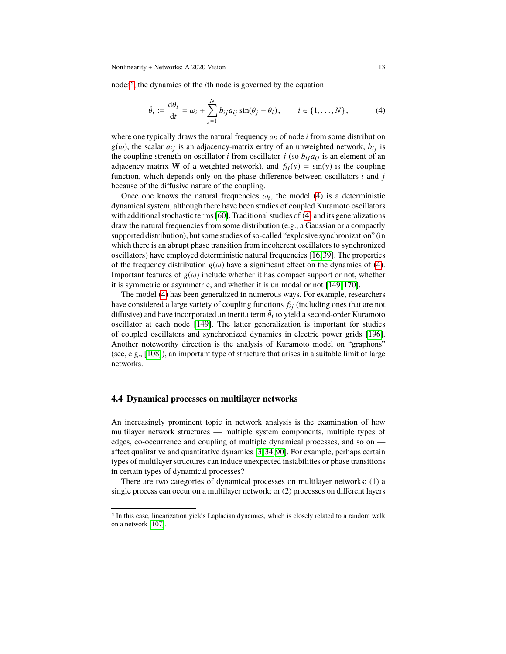nodes<sup>[5](#page-12-1)</sup>, the dynamics of the *i*th node is governed by the equation

<span id="page-12-2"></span>
$$
\dot{\theta}_i := \frac{\mathrm{d}\theta_i}{\mathrm{d}t} = \omega_i + \sum_{j=1}^N b_{ij} a_{ij} \sin(\theta_j - \theta_i), \qquad i \in \{1, \dots, N\},\tag{4}
$$

where one typically draws the natural frequency  $\omega_i$  of node *i* from some distribution  $g(\omega)$ , the scalar  $a_{ij}$  is an adjacency-matrix entry of an unweighted network,  $b_{ij}$  is the coupling strength on oscillator *i* from oscillator *j* (so  $b_{ij}a_{ij}$  is an element of an adjacency matrix **W** of a weighted network), and  $f_{ii}(y) = \sin(y)$  is the coupling function, which depends only on the phase difference between oscillators *i* and *j* because of the diffusive nature of the coupling.

Once one knows the natural frequencies  $\omega_i$ , the model [\(4\)](#page-12-2) is a deterministic namical system although there have been studies of coupled Kuramoto oscillators dynamical system, although there have been studies of coupled Kuramoto oscillators with additional stochastic terms [\[60\]](#page-25-14). Traditional studies of [\(4\)](#page-12-2) and its generalizations draw the natural frequencies from some distribution (e.g., a Gaussian or a compactly supported distribution), but some studies of so-called "explosive synchronization" (in which there is an abrupt phase transition from incoherent oscillators to synchronized oscillators) have employed deterministic natural frequencies [\[16,](#page-23-7)[39\]](#page-24-13). The properties of the frequency distribution  $g(\omega)$  have a significant effect on the dynamics of [\(4\)](#page-12-2). Important features of  $g(\omega)$  include whether it has compact support or not, whether it is symmetric or asymmetric, and whether it is unimodal or not [\[149,](#page-28-18) [170\]](#page-29-8).

The model [\(4\)](#page-12-2) has been generalized in numerous ways. For example, researchers have considered a large variety of coupling functions  $f_{ij}$  (including ones that are not diffusive) and have incorporated an inertia term  $\ddot{\theta}_i$  to yield a second-order Kuramoto oscillator, at each node [149]. The latter generalization is important for studies oscillator at each node [\[149\]](#page-28-18). The latter generalization is important for studies of coupled oscillators and synchronized dynamics in electric power grids [\[196\]](#page-30-18). Another noteworthy direction is the analysis of Kuramoto model on "graphons" (see, e.g., [\[108\]](#page-27-19)), an important type of structure that arises in a suitable limit of large networks.

### <span id="page-12-0"></span>**4.4 Dynamical processes on multilayer networks**

An increasingly prominent topic in network analysis is the examination of how multilayer network structures — multiple system components, multiple types of edges, co-occurrence and coupling of multiple dynamical processes, and so on affect qualitative and quantitative dynamics [\[3,](#page-23-0) [34,](#page-24-11) [90\]](#page-26-2). For example, perhaps certain types of multilayer structures can induce unexpected instabilities or phase transitions in certain types of dynamical processes?

There are two categories of dynamical processes on multilayer networks: (1) a single process can occur on a multilayer network; or (2) processes on different layers

<span id="page-12-1"></span><sup>5</sup> In this case, linearization yields Laplacian dynamics, which is closely related to a random walk on a network [\[107\]](#page-27-14).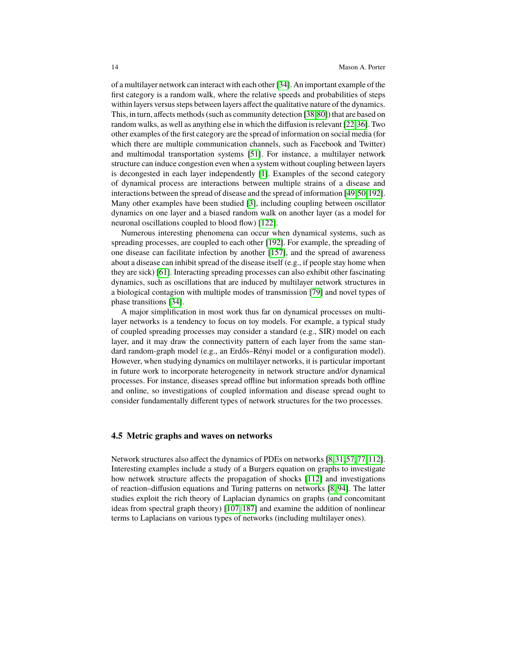of a multilayer network can interact with each other [\[34\]](#page-24-11). An important example of the first category is a random walk, where the relative speeds and probabilities of steps within layers versus steps between layers affect the qualitative nature of the dynamics. This, in turn, affects methods (such as community detection [\[38,](#page-24-4)[80\]](#page-26-7)) that are based on random walks, as well as anything else in which the diffusion is relevant [\[22,](#page-24-14)[36\]](#page-24-15). Two other examples of the first category are the spread of information on social media (for which there are multiple communication channels, such as Facebook and Twitter) and multimodal transportation systems [\[51\]](#page-25-15). For instance, a multilayer network structure can induce congestion even when a system without coupling between layers is decongested in each layer independently [\[1\]](#page-23-8). Examples of the second category of dynamical process are interactions between multiple strains of a disease and interactions between the spread of disease and the spread of information [\[49,](#page-25-16)[50,](#page-25-10)[192\]](#page-30-15). Many other examples have been studied [\[3\]](#page-23-0), including coupling between oscillator dynamics on one layer and a biased random walk on another layer (as a model for neuronal oscillations coupled to blood flow) [\[122\]](#page-27-20).

Numerous interesting phenomena can occur when dynamical systems, such as spreading processes, are coupled to each other [\[192\]](#page-30-15). For example, the spreading of one disease can facilitate infection by another [\[157\]](#page-29-9), and the spread of awareness about a disease can inhibit spread of the disease itself (e.g., if people stay home when they are sick) [\[61\]](#page-25-17). Interacting spreading processes can also exhibit other fascinating dynamics, such as oscillations that are induced by multilayer network structures in a biological contagion with multiple modes of transmission [\[79\]](#page-26-15) and novel types of phase transitions [\[34\]](#page-24-11).

A major simplification in most work thus far on dynamical processes on multilayer networks is a tendency to focus on toy models. For example, a typical study of coupled spreading processes may consider a standard (e.g., SIR) model on each layer, and it may draw the connectivity pattern of each layer from the same standard random-graph model (e.g., an Erdős–Rényi model or a configuration model). However, when studying dynamics on multilayer networks, it is particular important in future work to incorporate heterogeneity in network structure and/or dynamical processes. For instance, diseases spread offline but information spreads both offline and online, so investigations of coupled information and disease spread ought to consider fundamentally different types of network structures for the two processes.

#### **4.5 Metric graphs and waves on networks**

Network structures also affect the dynamics of PDEs on networks [\[8,](#page-23-9)[31,](#page-24-16)[57,](#page-25-18)[77,](#page-26-16)[112\]](#page-27-21). Interesting examples include a study of a Burgers equation on graphs to investigate how network structure affects the propagation of shocks [\[112\]](#page-27-21) and investigations of reaction–diffusion equations and Turing patterns on networks [\[8,](#page-23-9) [94\]](#page-26-17). The latter studies exploit the rich theory of Laplacian dynamics on graphs (and concomitant ideas from spectral graph theory) [\[107,](#page-27-14) [187\]](#page-30-1) and examine the addition of nonlinear terms to Laplacians on various types of networks (including multilayer ones).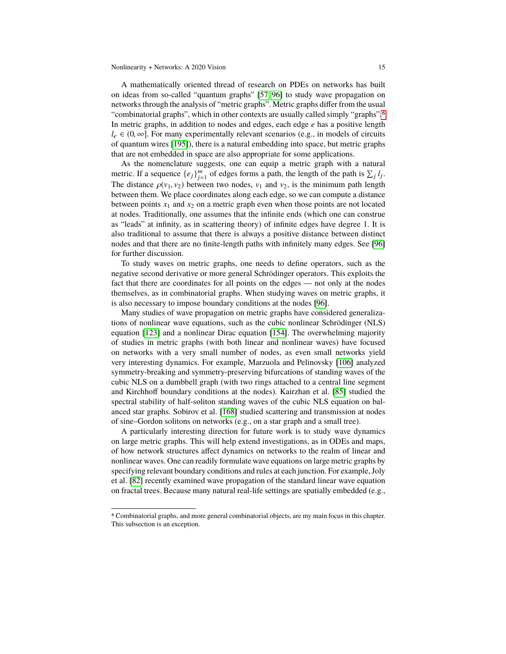A mathematically oriented thread of research on PDEs on networks has built on ideas from so-called "quantum graphs" [\[57,](#page-25-18) [96\]](#page-26-18) to study wave propagation on networks through the analysis of "metric graphs". Metric graphs differ from the usual "combinatorial graphs", which in other contexts are usually called simply "graphs".[6](#page-14-0) In metric graphs, in addition to nodes and edges, each edge *e* has a positive length  $l_e \in (0, \infty]$ . For many experimentally relevant scenarios (e.g., in models of circuits of quantum wires [\[195\]](#page-30-19)), there is a natural embedding into space, but metric graphs that are not embedded in space are also appropriate for some applications.

As the nomenclature suggests, one can equip a metric graph with a natural metric. If a sequence  $\{e_j\}_{j=1}^m$  of edges forms a path, the length of the path is  $\sum_j l_j$ . The distance  $\rho(v_1, v_2)$  between two nodes,  $v_1$  and  $v_2$ , is the minimum path length between them. We place coordinates along each edge, so we can compute a distance between points  $x_1$  and  $x_2$  on a metric graph even when those points are not located at nodes. Traditionally, one assumes that the infinite ends (which one can construe as "leads" at infinity, as in scattering theory) of infinite edges have degree 1. It is also traditional to assume that there is always a positive distance between distinct nodes and that there are no finite-length paths with infinitely many edges. See [\[96\]](#page-26-18) for further discussion.

To study waves on metric graphs, one needs to define operators, such as the negative second derivative or more general Schrödinger operators. This exploits the fact that there are coordinates for all points on the edges — not only at the nodes themselves, as in combinatorial graphs. When studying waves on metric graphs, it is also necessary to impose boundary conditions at the nodes [\[96\]](#page-26-18).

Many studies of wave propagation on metric graphs have considered generalizations of nonlinear wave equations, such as the cubic nonlinear Schrödinger (NLS) equation [\[123\]](#page-27-22) and a nonlinear Dirac equation [\[154\]](#page-29-10). The overwhelming majority of studies in metric graphs (with both linear and nonlinear waves) have focused on networks with a very small number of nodes, as even small networks yield very interesting dynamics. For example, Marzuola and Pelinovsky [\[106\]](#page-27-23) analyzed symmetry-breaking and symmetry-preserving bifurcations of standing waves of the cubic NLS on a dumbbell graph (with two rings attached to a central line segment and Kirchhoff boundary conditions at the nodes). Kairzhan et al. [\[85\]](#page-26-19) studied the spectral stability of half-soliton standing waves of the cubic NLS equation on balanced star graphs. Sobirov et al. [\[168\]](#page-29-11) studied scattering and transmission at nodes of sine–Gordon solitons on networks (e.g., on a star graph and a small tree).

A particularly interesting direction for future work is to study wave dynamics on large metric graphs. This will help extend investigations, as in ODEs and maps, of how network structures affect dynamics on networks to the realm of linear and nonlinear waves. One can readily formulate wave equations on large metric graphs by specifying relevant boundary conditions and rules at each junction. For example, Joly et al. [\[82\]](#page-26-20) recently examined wave propagation of the standard linear wave equation on fractal trees. Because many natural real-life settings are spatially embedded (e.g.,

<span id="page-14-0"></span><sup>6</sup> Combinatorial graphs, and more general combinatorial objects, are my main focus in this chapter. This subsection is an exception.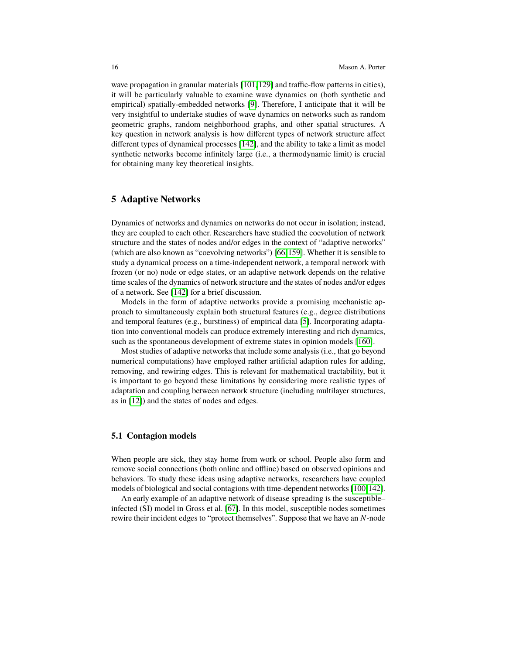wave propagation in granular materials [\[101,](#page-27-24)[129\]](#page-28-14) and traffic-flow patterns in cities), it will be particularly valuable to examine wave dynamics on (both synthetic and empirical) spatially-embedded networks [\[9\]](#page-23-10). Therefore, I anticipate that it will be very insightful to undertake studies of wave dynamics on networks such as random geometric graphs, random neighborhood graphs, and other spatial structures. A key question in network analysis is how different types of network structure affect different types of dynamical processes [\[142\]](#page-28-3), and the ability to take a limit as model synthetic networks become infinitely large (i.e., a thermodynamic limit) is crucial for obtaining many key theoretical insights.

# <span id="page-15-0"></span>**5 Adaptive Networks**

Dynamics of networks and dynamics on networks do not occur in isolation; instead, they are coupled to each other. Researchers have studied the coevolution of network structure and the states of nodes and/or edges in the context of "adaptive networks" (which are also known as "coevolving networks") [\[66,](#page-25-19)[159\]](#page-29-12). Whether it is sensible to study a dynamical process on a time-independent network, a temporal network with frozen (or no) node or edge states, or an adaptive network depends on the relative time scales of the dynamics of network structure and the states of nodes and/or edges of a network. See [\[142\]](#page-28-3) for a brief discussion.

Models in the form of adaptive networks provide a promising mechanistic approach to simultaneously explain both structural features (e.g., degree distributions and temporal features (e.g., burstiness) of empirical data [\[5\]](#page-23-11). Incorporating adaptation into conventional models can produce extremely interesting and rich dynamics, such as the spontaneous development of extreme states in opinion models [\[160\]](#page-29-13).

Most studies of adaptive networks that include some analysis (i.e., that go beyond numerical computations) have employed rather artificial adaption rules for adding, removing, and rewiring edges. This is relevant for mathematical tractability, but it is important to go beyond these limitations by considering more realistic types of adaptation and coupling between network structure (including multilayer structures, as in [\[12\]](#page-23-12)) and the states of nodes and edges.

#### **5.1 Contagion models**

When people are sick, they stay home from work or school. People also form and remove social connections (both online and offline) based on observed opinions and behaviors. To study these ideas using adaptive networks, researchers have coupled models of biological and social contagions with time-dependent networks [\[100,](#page-27-8)[142\]](#page-28-3).

An early example of an adaptive network of disease spreading is the susceptible– infected (SI) model in Gross et al. [\[67\]](#page-25-20). In this model, susceptible nodes sometimes rewire their incident edges to "protect themselves". Suppose that we have an *N*-node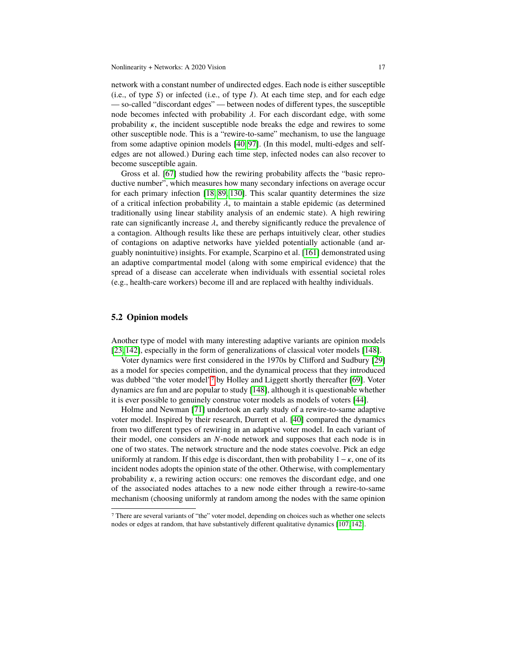network with a constant number of undirected edges. Each node is either susceptible (i.e., of type *S*) or infected (i.e., of type *I*). At each time step, and for each edge — so-called "discordant edges" — between nodes of different types, the susceptible node becomes infected with probability  $\lambda$ . For each discordant edge, with some probability  $\kappa$ , the incident susceptible node breaks the edge and rewires to some other susceptible node. This is a "rewire-to-same" mechanism, to use the language from some adaptive opinion models [\[40,](#page-24-17) [97\]](#page-26-21). (In this model, multi-edges and selfedges are not allowed.) During each time step, infected nodes can also recover to become susceptible again.

Gross et al. [\[67\]](#page-25-20) studied how the rewiring probability affects the "basic reproductive number", which measures how many secondary infections on average occur for each primary infection [\[18,](#page-24-10) [89,](#page-26-10) [130\]](#page-28-19). This scalar quantity determines the size of a critical infection probability  $\lambda_{*}$  to maintain a stable epidemic (as determined traditionally using linear stability analysis of an endemic state). A high rewiring rate can significantly increase  $\lambda_{*}$  and thereby significantly reduce the prevalence of a contagion. Although results like these are perhaps intuitively clear, other studies of contagions on adaptive networks have yielded potentially actionable (and arguably nonintuitive) insights. For example, Scarpino et al. [\[161\]](#page-29-7) demonstrated using an adaptive compartmental model (along with some empirical evidence) that the spread of a disease can accelerate when individuals with essential societal roles (e.g., health-care workers) become ill and are replaced with healthy individuals.

#### **5.2 Opinion models**

Another type of model with many interesting adaptive variants are opinion models [\[23,](#page-24-7) [142\]](#page-28-3), especially in the form of generalizations of classical voter models [\[148\]](#page-28-21).

Voter dynamics were first considered in the 1970s by Clifford and Sudbury [\[29\]](#page-24-18) as a model for species competition, and the dynamical process that they introduced was dubbed "the voter model"[7](#page-16-0) by Holley and Liggett shortly thereafter [\[69\]](#page-25-21). Voter dynamics are fun and are popular to study [\[148\]](#page-28-21), although it is questionable whether it is ever possible to genuinely construe voter models as models of voters [\[44\]](#page-24-19).

Holme and Newman [\[71\]](#page-25-22) undertook an early study of a rewire-to-same adaptive voter model. Inspired by their research, Durrett et al. [\[40\]](#page-24-17) compared the dynamics from two different types of rewiring in an adaptive voter model. In each variant of their model, one considers an *N*-node network and supposes that each node is in one of two states. The network structure and the node states coevolve. Pick an edge uniformly at random. If this edge is discordant, then with probability  $1 - \kappa$ , one of its incident nodes adopts the opinion state of the other. Otherwise, with complementary probability  $\kappa$ , a rewiring action occurs: one removes the discordant edge, and one of the associated nodes attaches to a new node either through a rewire-to-same mechanism (choosing uniformly at random among the nodes with the same opinion

<span id="page-16-0"></span><sup>7</sup> There are several variants of "the" voter model, depending on choices such as whether one selects nodes or edges at random, that have substantively different qualitative dynamics [\[107,](#page-27-14) [142\]](#page-28-3).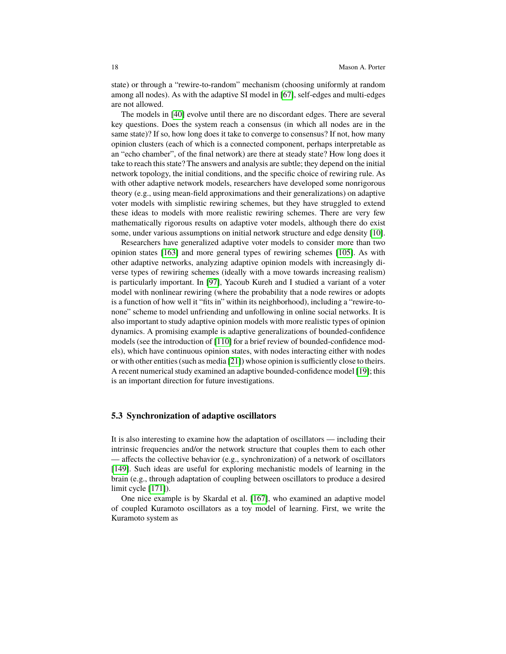state) or through a "rewire-to-random" mechanism (choosing uniformly at random among all nodes). As with the adaptive SI model in [\[67\]](#page-25-20), self-edges and multi-edges are not allowed.

The models in [\[40\]](#page-24-17) evolve until there are no discordant edges. There are several key questions. Does the system reach a consensus (in which all nodes are in the same state)? If so, how long does it take to converge to consensus? If not, how many opinion clusters (each of which is a connected component, perhaps interpretable as an "echo chamber", of the final network) are there at steady state? How long does it take to reach this state? The answers and analysis are subtle; they depend on the initial network topology, the initial conditions, and the specific choice of rewiring rule. As with other adaptive network models, researchers have developed some nonrigorous theory (e.g., using mean-field approximations and their generalizations) on adaptive voter models with simplistic rewiring schemes, but they have struggled to extend these ideas to models with more realistic rewiring schemes. There are very few mathematically rigorous results on adaptive voter models, although there do exist some, under various assumptions on initial network structure and edge density [\[10\]](#page-23-13).

Researchers have generalized adaptive voter models to consider more than two opinion states [\[163\]](#page-29-14) and more general types of rewiring schemes [\[105\]](#page-27-25). As with other adaptive networks, analyzing adaptive opinion models with increasingly diverse types of rewiring schemes (ideally with a move towards increasing realism) is particularly important. In [\[97\]](#page-26-21), Yacoub Kureh and I studied a variant of a voter model with nonlinear rewiring (where the probability that a node rewires or adopts is a function of how well it "fits in" within its neighborhood), including a "rewire-tonone" scheme to model unfriending and unfollowing in online social networks. It is also important to study adaptive opinion models with more realistic types of opinion dynamics. A promising example is adaptive generalizations of bounded-confidence models (see the introduction of [\[110\]](#page-27-15) for a brief review of bounded-confidence models), which have continuous opinion states, with nodes interacting either with nodes or with other entities (such as media [\[21\]](#page-24-20)) whose opinion is sufficiently close to theirs. A recent numerical study examined an adaptive bounded-confidence model [\[19\]](#page-24-21); this is an important direction for future investigations.

#### **5.3 Synchronization of adaptive oscillators**

It is also interesting to examine how the adaptation of oscillators — including their intrinsic frequencies and/or the network structure that couples them to each other — affects the collective behavior (e.g., synchronization) of a network of oscillators [\[149\]](#page-28-18). Such ideas are useful for exploring mechanistic models of learning in the brain (e.g., through adaptation of coupling between oscillators to produce a desired limit cycle [\[171\]](#page-29-15)).

One nice example is by Skardal et al. [\[167\]](#page-29-16), who examined an adaptive model of coupled Kuramoto oscillators as a toy model of learning. First, we write the Kuramoto system as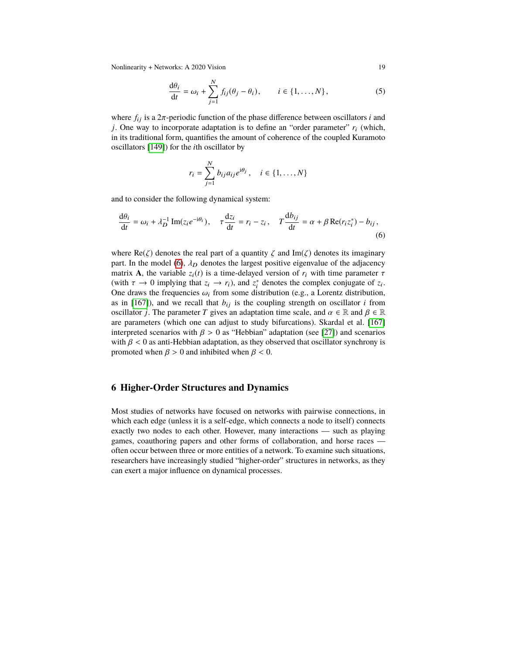Nonlinearity + Networks: A 2020 Vision 19

$$
\frac{d\theta_i}{dt} = \omega_i + \sum_{j=1}^N f_{ij}(\theta_j - \theta_i), \qquad i \in \{1, \dots, N\},
$$
\n(5)

where  $f_{ij}$  is a  $2\pi$ -periodic function of the phase difference between oscillators *i* and *j*. One way to incorporate adaptation is to define an "order parameter"  $r_i$  (which, in its traditional form, quantifies the amount of coherence of the coupled Kuramoto oscillators [\[149\]](#page-28-18)) for the *i*th oscillator by

<span id="page-18-1"></span>
$$
r_i = \sum_{j=1}^{N} b_{ij} a_{ij} e^{i\theta_j}, \quad i \in \{1, ..., N\}
$$

and to consider the following dynamical system:

$$
\frac{d\theta_i}{dt} = \omega_i + \lambda_D^{-1} \operatorname{Im}(z_i e^{-i\theta_i}), \quad \tau \frac{dz_i}{dt} = r_i - z_i, \quad T \frac{db_{ij}}{dt} = \alpha + \beta \operatorname{Re}(r_i z_i^*) - b_{ij},\tag{6}
$$

where Re( $\zeta$ ) denotes the real part of a quantity  $\zeta$  and Im( $\zeta$ ) denotes its imaginary part. In the model [\(6\)](#page-18-1),  $\lambda_D$  denotes the largest positive eigenvalue of the adjacency matrix **A**, the variable  $z_i(t)$  is a time-delayed version of  $r_i$  with time parameter  $\tau$ (with  $\tau \to 0$  implying that  $z_i \to r_i$ ), and  $z_i^*$  denotes the complex conjugate of  $z_i$ .<br>One draws the frequencies  $\omega_i$  from some distribution (e.g., a Lorentz distribution One draws the frequencies  $\omega_i$  from some distribution (e.g., a Lorentz distribution, as in [\[167\]](#page-29-16)), and we recall that  $b_{ij}$  is the coupling strength on oscillator *i* from oscillator *j*. The parameter *T* gives an adaptation time scale, and  $\alpha \in \mathbb{R}$  and  $\beta \in \mathbb{R}$ are parameters (which one can adjust to study bifurcations). Skardal et al. [\[167\]](#page-29-16) interpreted scenarios with  $\beta > 0$  as "Hebbian" adaptation (see [\[27\]](#page-24-22)) and scenarios with  $\beta$  < 0 as anti-Hebbian adaptation, as they observed that oscillator synchrony is promoted when  $\beta > 0$  and inhibited when  $\beta < 0$ .

# <span id="page-18-0"></span>**6 Higher-Order Structures and Dynamics**

Most studies of networks have focused on networks with pairwise connections, in which each edge (unless it is a self-edge, which connects a node to itself) connects exactly two nodes to each other. However, many interactions — such as playing games, coauthoring papers and other forms of collaboration, and horse races often occur between three or more entities of a network. To examine such situations, researchers have increasingly studied "higher-order" structures in networks, as they can exert a major influence on dynamical processes.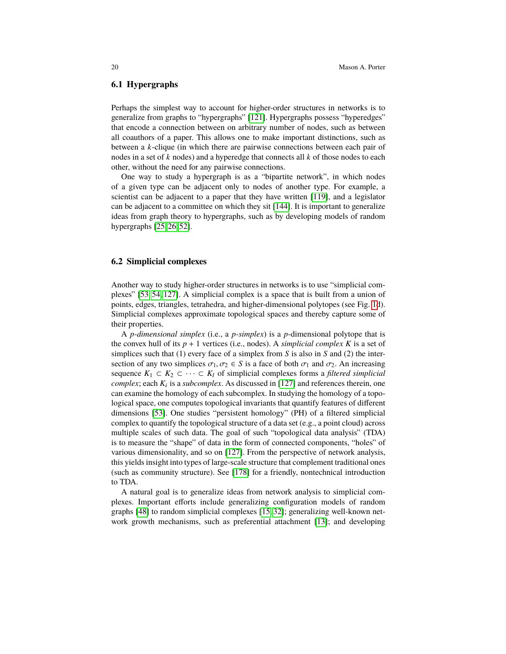#### **6.1 Hypergraphs**

Perhaps the simplest way to account for higher-order structures in networks is to generalize from graphs to "hypergraphs" [\[121\]](#page-27-0). Hypergraphs possess "hyperedges" that encode a connection between on arbitrary number of nodes, such as between all coauthors of a paper. This allows one to make important distinctions, such as between a *k*-clique (in which there are pairwise connections between each pair of nodes in a set of *k* nodes) and a hyperedge that connects all *k* of those nodes to each other, without the need for any pairwise connections.

One way to study a hypergraph is as a "bipartite network", in which nodes of a given type can be adjacent only to nodes of another type. For example, a scientist can be adjacent to a paper that they have written [\[119\]](#page-27-26), and a legislator can be adjacent to a committee on which they sit [\[144\]](#page-28-26). It is important to generalize ideas from graph theory to hypergraphs, such as by developing models of random hypergraphs [\[25,](#page-24-23) [26,](#page-24-0) [52\]](#page-25-23).

#### **6.2 Simplicial complexes**

Another way to study higher-order structures in networks is to use "simplicial complexes" [\[53,](#page-25-24) [54,](#page-25-25) [127\]](#page-28-5). A simplicial complex is a space that is built from a union of points, edges, triangles, tetrahedra, and higher-dimensional polytopes (see Fig. [1d](#page-2-0)). Simplicial complexes approximate topological spaces and thereby capture some of their properties.

A *p-dimensional simplex* (i.e., a *p-simplex*) is a *p*-dimensional polytope that is the convex hull of its  $p + 1$  vertices (i.e., nodes). A *simplicial complex*  $K$  is a set of simplices such that (1) every face of a simplex from *S* is also in *S* and (2) the intersection of any two simplices  $\sigma_1, \sigma_2 \in S$  is a face of both  $\sigma_1$  and  $\sigma_2$ . An increasing sequence  $K_1 \subset K_2 \subset \cdots \subset K_l$  of simplicial complexes forms a *filtered simplicial complex*; each *K*<sup>i</sup> is a *subcomplex*. As discussed in [\[127\]](#page-28-5) and references therein, one can examine the homology of each subcomplex. In studying the homology of a topological space, one computes topological invariants that quantify features of different dimensions [\[53\]](#page-25-24). One studies "persistent homology" (PH) of a filtered simplicial complex to quantify the topological structure of a data set (e.g., a point cloud) across multiple scales of such data. The goal of such "topological data analysis" (TDA) is to measure the "shape" of data in the form of connected components, "holes" of various dimensionality, and so on [\[127\]](#page-28-5). From the perspective of network analysis, this yields insight into types of large-scale structure that complement traditional ones (such as community structure). See [\[178\]](#page-29-17) for a friendly, nontechnical introduction to TDA.

A natural goal is to generalize ideas from network analysis to simplicial complexes. Important efforts include generalizing configuration models of random graphs [\[48\]](#page-25-26) to random simplicial complexes [\[15,](#page-23-14) [32\]](#page-24-24); generalizing well-known network growth mechanisms, such as preferential attachment [\[13\]](#page-23-15); and developing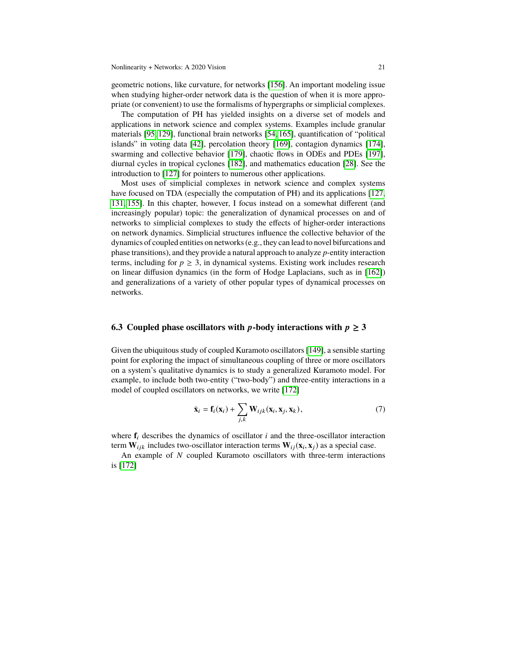geometric notions, like curvature, for networks [\[156\]](#page-29-18). An important modeling issue when studying higher-order network data is the question of when it is more appropriate (or convenient) to use the formalisms of hypergraphs or simplicial complexes.

The computation of PH has yielded insights on a diverse set of models and applications in network science and complex systems. Examples include granular materials [\[95,](#page-26-22) [129\]](#page-28-14), functional brain networks [\[54,](#page-25-25) [165\]](#page-29-19), quantification of "political islands" in voting data [\[42\]](#page-24-25), percolation theory [\[169\]](#page-29-20), contagion dynamics [\[174\]](#page-29-6), swarming and collective behavior [\[179\]](#page-30-20), chaotic flows in ODEs and PDEs [\[197\]](#page-30-21), diurnal cycles in tropical cyclones [\[182\]](#page-30-22), and mathematics education [\[28\]](#page-24-26). See the introduction to [\[127\]](#page-28-5) for pointers to numerous other applications.

Most uses of simplicial complexes in network science and complex systems have focused on TDA (especially the computation of PH) and its applications [\[127,](#page-28-5) [131,](#page-28-6) [155\]](#page-29-21). In this chapter, however, I focus instead on a somewhat different (and increasingly popular) topic: the generalization of dynamical processes on and of networks to simplicial complexes to study the effects of higher-order interactions on network dynamics. Simplicial structures influence the collective behavior of the dynamics of coupled entities on networks (e.g., they can lead to novel bifurcations and phase transitions), and they provide a natural approach to analyze *p*-entity interaction terms, including for  $p \geq 3$ , in dynamical systems. Existing work includes research on linear diffusion dynamics (in the form of Hodge Laplacians, such as in [\[162\]](#page-29-22)) and generalizations of a variety of other popular types of dynamical processes on networks.

# **6.3** Coupled phase oscillators with p-body interactions with  $p \ge 3$

Given the ubiquitous study of coupled Kuramoto oscillators [\[149\]](#page-28-18), a sensible starting point for exploring the impact of simultaneous coupling of three or more oscillators on a system's qualitative dynamics is to study a generalized Kuramoto model. For example, to include both two-entity ("two-body") and three-entity interactions in a model of coupled oscillators on networks, we write [\[172\]](#page-29-23)

$$
\dot{\mathbf{x}}_i = \mathbf{f}_i(\mathbf{x}_i) + \sum_{j,k} \mathbf{W}_{ijk}(\mathbf{x}_i, \mathbf{x}_j, \mathbf{x}_k),
$$
\n(7)

where  $f_i$  describes the dynamics of oscillator  $i$  and the three-oscillator interaction term  $W_{ijk}$  includes two-oscillator interaction terms  $W_{ij}(\mathbf{x}_i, \mathbf{x}_j)$  as a special case.<br>An example of N coupled Kuramoto oscillators with three-term interaction

An example of *N* coupled Kuramoto oscillators with three-term interactions is [\[172\]](#page-29-23)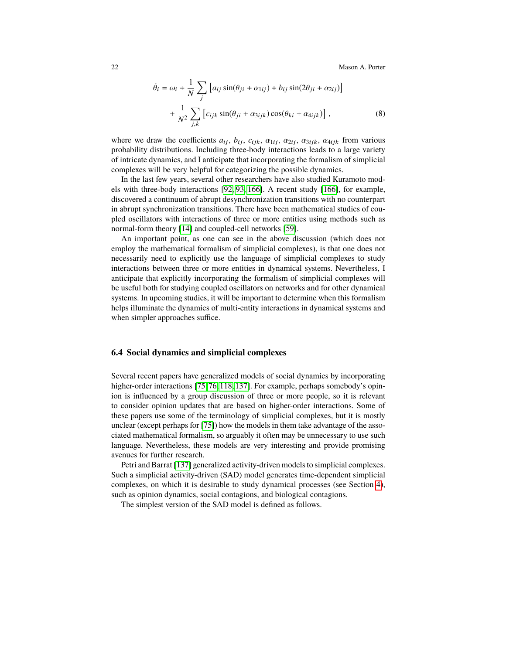$$
\dot{\theta}_i = \omega_i + \frac{1}{N} \sum_j \left[ a_{ij} \sin(\theta_{ji} + \alpha_{1ij}) + b_{ij} \sin(2\theta_{ji} + \alpha_{2ij}) \right] + \frac{1}{N^2} \sum_{j,k} \left[ c_{ijk} \sin(\theta_{ji} + \alpha_{3ijk}) \cos(\theta_{ki} + \alpha_{4ijk}) \right],
$$
(8)

where we draw the coefficients  $a_{ij}$ ,  $b_{ij}$ ,  $c_{ijk}$ ,  $\alpha_{1ij}$ ,  $\alpha_{2ij}$ ,  $\alpha_{3ijk}$ ,  $\alpha_{4ijk}$  from various probability distributions. Including three-body interactions leads to a large variety of intricate dynamics, and I anticipate that incorporating the formalism of simplicial complexes will be very helpful for categorizing the possible dynamics.

In the last few years, several other researchers have also studied Kuramoto models with three-body interactions [\[92,](#page-26-23) [93,](#page-26-24) [166\]](#page-29-24). A recent study [\[166\]](#page-29-24), for example, discovered a continuum of abrupt desynchronization transitions with no counterpart in abrupt synchronization transitions. There have been mathematical studies of coupled oscillators with interactions of three or more entities using methods such as normal-form theory [\[14\]](#page-23-16) and coupled-cell networks [\[59\]](#page-25-2).

An important point, as one can see in the above discussion (which does not employ the mathematical formalism of simplicial complexes), is that one does not necessarily need to explicitly use the language of simplicial complexes to study interactions between three or more entities in dynamical systems. Nevertheless, I anticipate that explicitly incorporating the formalism of simplicial complexes will be useful both for studying coupled oscillators on networks and for other dynamical systems. In upcoming studies, it will be important to determine when this formalism helps illuminate the dynamics of multi-entity interactions in dynamical systems and when simpler approaches suffice.

#### <span id="page-21-0"></span>**6.4 Social dynamics and simplicial complexes**

Several recent papers have generalized models of social dynamics by incorporating higher-order interactions [\[75,](#page-26-25) [76,](#page-26-26) [118,](#page-27-27) [137\]](#page-28-17). For example, perhaps somebody's opinion is influenced by a group discussion of three or more people, so it is relevant to consider opinion updates that are based on higher-order interactions. Some of these papers use some of the terminology of simplicial complexes, but it is mostly unclear (except perhaps for [\[75\]](#page-26-25)) how the models in them take advantage of the associated mathematical formalism, so arguably it often may be unnecessary to use such language. Nevertheless, these models are very interesting and provide promising avenues for further research.

Petri and Barrat [\[137\]](#page-28-17) generalized activity-driven models to simplicial complexes. Such a simplicial activity-driven (SAD) model generates time-dependent simplicial complexes, on which it is desirable to study dynamical processes (see Section [4\)](#page-8-0), such as opinion dynamics, social contagions, and biological contagions.

The simplest version of the SAD model is defined as follows.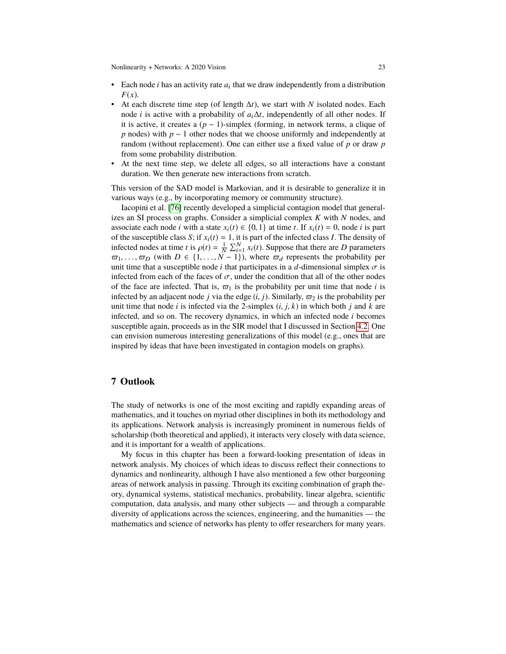Nonlinearity + Networks: A 2020 Vision 23

- Each node  $i$  has an activity rate  $a_i$  that we draw independently from a distribution *F*(*x*).
- At each discrete time step (of length  $\Delta t$ ), we start with *N* isolated nodes. Each node *i* is active with a probability of  $a_i \Delta t$ , independently of all other nodes. If it is active, it creates a  $(p - 1)$ -simplex (forming, in network terms, a clique of *p* nodes) with *p* − 1 other nodes that we choose uniformly and independently at random (without replacement). One can either use a fixed value of *p* or draw *p* from some probability distribution.
- At the next time step, we delete all edges, so all interactions have a constant duration. We then generate new interactions from scratch.

This version of the SAD model is Markovian, and it is desirable to generalize it in various ways (e.g., by incorporating memory or community structure).

Iacopini et al. [\[76\]](#page-26-26) recently developed a simplicial contagion model that generalizes an SI process on graphs. Consider a simplicial complex *K* with *N* nodes, and associate each node *i* with a state  $x_i(t) \in \{0, 1\}$  at time *t*. If  $x_i(t) = 0$ , node *i* is part of the susceptible class *S*; if  $x_i(t) = 1$ , it is part of the infected class *I*. The density of infected nodes at time *t* is  $\rho(t) = \frac{1}{N} \sum_{i=1}^{N} x_i(t)$ . Suppose that there are *D* parameters  $\overline{\omega}_1, \ldots, \overline{\omega}_D$  (with  $D \in \{1, \ldots, N-1\}$ ), where  $\overline{\omega}_d$  represents the probability per unit time that a susceptible node *i* that participates in a *d*-dimensional simplex  $\overline{\sigma}$  is unit time that a susceptible node *i* that participates in a *d*-dimensional simplex  $\sigma$  is infected from each of the faces of  $\sigma$ , under the condition that all of the other nodes of the face are infected. That is,  $\varpi_1$  is the probability per unit time that node *i* is infected by an adjacent node *j* via the edge  $(i, j)$ . Similarly,  $\varpi_2$  is the probability per unit time that node *i* is infected via the 2-simplex  $(i, j, k)$  in which both *j* and *k* are infected, and so on. The recovery dynamics, in which an infected node *i* becomes susceptible again, proceeds as in the SIR model that I discussed in Section [4.2.](#page-9-0) One can envision numerous interesting generalizations of this model (e.g., ones that are inspired by ideas that have been investigated in contagion models on graphs).

# <span id="page-22-0"></span>**7 Outlook**

The study of networks is one of the most exciting and rapidly expanding areas of mathematics, and it touches on myriad other disciplines in both its methodology and its applications. Network analysis is increasingly prominent in numerous fields of scholarship (both theoretical and applied), it interacts very closely with data science, and it is important for a wealth of applications.

My focus in this chapter has been a forward-looking presentation of ideas in network analysis. My choices of which ideas to discuss reflect their connections to dynamics and nonlinearity, although I have also mentioned a few other burgeoning areas of network analysis in passing. Through its exciting combination of graph theory, dynamical systems, statistical mechanics, probability, linear algebra, scientific computation, data analysis, and many other subjects — and through a comparable diversity of applications across the sciences, engineering, and the humanities — the mathematics and science of networks has plenty to offer researchers for many years.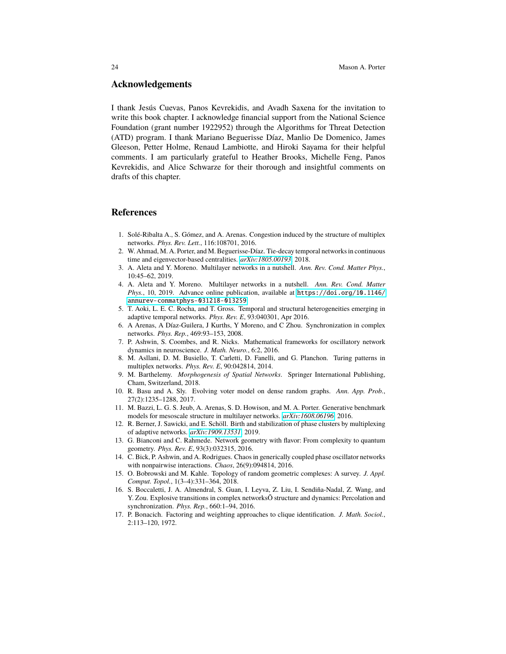### **Acknowledgements**

I thank Jesús Cuevas, Panos Kevrekidis, and Avadh Saxena for the invitation to write this book chapter. I acknowledge financial support from the National Science Foundation (grant number 1922952) through the Algorithms for Threat Detection (ATD) program. I thank Mariano Beguerisse Díaz, Manlio De Domenico, James Gleeson, Petter Holme, Renaud Lambiotte, and Hiroki Sayama for their helpful comments. I am particularly grateful to Heather Brooks, Michelle Feng, Panos Kevrekidis, and Alice Schwarze for their thorough and insightful comments on drafts of this chapter.

#### **References**

- <span id="page-23-8"></span>1. Solé-Ribalta A., S. Gómez, and A. Arenas. Congestion induced by the structure of multiplex networks. *Phys. Rev. Lett.*, 116:108701, 2016.
- <span id="page-23-4"></span>2. W. Ahmad, M. A. Porter, and M. Beguerisse-Díaz. Tie-decay temporal networks in continuous time and eigenvector-based centralities. *[arXiv:1805.00193](http://arxiv.org/abs/1805.00193)*, 2018.
- <span id="page-23-0"></span>3. A. Aleta and Y. Moreno. Multilayer networks in a nutshell. *Ann. Rev. Cond. Matter Phys.*, 10:45–62, 2019.
- <span id="page-23-3"></span>4. A. Aleta and Y. Moreno. Multilayer networks in a nutshell. *Ann. Rev. Cond. Matter Phys.*, 10, 2019. Advance online publication, available at [https://doi.org/10.1146/](https://doi.org/10.1146/annurev-conmatphys- 031218-013259) [annurev-conmatphys-031218-013259](https://doi.org/10.1146/annurev-conmatphys- 031218-013259).
- <span id="page-23-11"></span>5. T. Aoki, L. E. C. Rocha, and T. Gross. Temporal and structural heterogeneities emerging in adaptive temporal networks. *Phys. Rev. E*, 93:040301, Apr 2016.
- <span id="page-23-5"></span>6. A Arenas, A Díaz-Guilera, J Kurths, Y Moreno, and C Zhou. Synchronization in complex networks. *Phys. Rep.*, 469:93–153, 2008.
- <span id="page-23-6"></span>7. P. Ashwin, S. Coombes, and R. Nicks. Mathematical frameworks for oscillatory network dynamics in neuroscience. *J. Math. Neuro.*, 6:2, 2016.
- <span id="page-23-9"></span>8. M. Asllani, D. M. Busiello, T. Carletti, D. Fanelli, and G. Planchon. Turing patterns in multiplex networks. *Phys. Rev. E*, 90:042814, 2014.
- <span id="page-23-10"></span>9. M. Barthelemy. *Morphogenesis of Spatial Networks*. Springer International Publishing, Cham, Switzerland, 2018.
- <span id="page-23-13"></span>10. R. Basu and A. Sly. Evolving voter model on dense random graphs. *Ann. App. Prob.*, 27(2):1235–1288, 2017.
- <span id="page-23-2"></span>11. M. Bazzi, L. G. S. Jeub, A. Arenas, S. D. Howison, and M. A. Porter. Generative benchmark models for mesoscale structure in multilayer networks. *[arXiv:1608.06196](http://arxiv.org/abs/1608.06196)*, 2016.
- <span id="page-23-12"></span>12. R. Berner, J. Sawicki, and E. Schöll. Birth and stabilization of phase clusters by multiplexing of adaptive networks. *[arXiv:1909.13531](http://arxiv.org/abs/1909.13531)*, 2019.
- <span id="page-23-15"></span>13. G. Bianconi and C. Rahmede. Network geometry with flavor: From complexity to quantum geometry. *Phys. Rev. E*, 93(3):032315, 2016.
- <span id="page-23-16"></span>14. C. Bick, P. Ashwin, and A. Rodrigues. Chaos in generically coupled phase oscillator networks with nonpairwise interactions. *Chaos*, 26(9):094814, 2016.
- <span id="page-23-14"></span>15. O. Bobrowski and M. Kahle. Topology of random geometric complexes: A survey. *J. Appl. Comput. Topol.*, 1(3–4):331–364, 2018.
- <span id="page-23-7"></span>16. S. Boccaletti, J. A. Almendral, S. Guan, I. Leyva, Z. Liu, I. Sendiña-Nadal, Z. Wang, and Y. Zou. Explosive transitions in complex networksÕ structure and dynamics: Percolation and synchronization. *Phys. Rep.*, 660:1–94, 2016.
- <span id="page-23-1"></span>17. P. Bonacich. Factoring and weighting approaches to clique identification. *J. Math. Sociol.*, 2:113–120, 1972.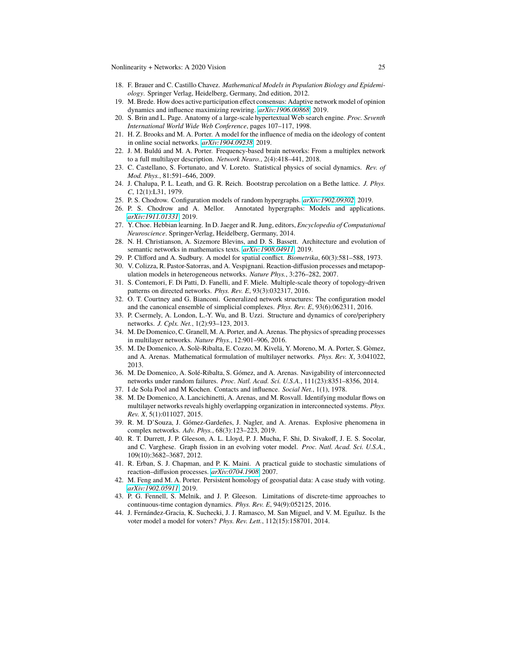- <span id="page-24-10"></span>18. F. Brauer and C. Castillo Chavez. *Mathematical Models in Population Biology and Epidemiology*. Springer Verlag, Heidelberg, Germany, 2nd edition, 2012.
- <span id="page-24-21"></span>19. M. Brede. How does active participation effect consensus: Adaptive network model of opinion dynamics and influence maximizing rewiring. *[arXiv:1906.00868](http://arxiv.org/abs/1906.00868)*, 2019.
- <span id="page-24-6"></span>20. S. Brin and L. Page. Anatomy of a large-scale hypertextual Web search engine. *Proc. Seventh International World Wide Web Conference*, pages 107–117, 1998.
- <span id="page-24-20"></span>21. H. Z. Brooks and M. A. Porter. A model for the influence of media on the ideology of content in online social networks. *[arXiv:1904.09238](http://arxiv.org/abs/1904.09238)*, 2019.
- <span id="page-24-14"></span>22. J. M. Buldú and M. A. Porter. Frequency-based brain networks: From a multiplex network to a full multilayer description. *Network Neuro.*, 2(4):418–441, 2018.
- <span id="page-24-7"></span>23. C. Castellano, S. Fortunato, and V. Loreto. Statistical physics of social dynamics. *Rev. of Mod. Phys.*, 81:591–646, 2009.
- <span id="page-24-8"></span>24. J. Chalupa, P. L. Leath, and G. R. Reich. Bootstrap percolation on a Bethe lattice. *J. Phys. C*, 12(1):L31, 1979.
- <span id="page-24-23"></span>25. P. S. Chodrow. Configuration models of random hypergraphs. *[arXiv:1902.09302](http://arxiv.org/abs/1902.09302)*, 2019.
- <span id="page-24-0"></span>26. P. S. Chodrow and A. Mellor. Annotated hypergraphs: Models and applications. *[arXiv:1911.01331](http://arxiv.org/abs/1911.01331)*, 2019.
- <span id="page-24-22"></span>27. Y. Choe. Hebbian learning. In D. Jaeger and R. Jung, editors, *Encyclopedia of Computational Neuroscience*. Springer-Verlag, Heidelberg, Germany, 2014.
- <span id="page-24-26"></span>28. N. H. Christianson, A. Sizemore Blevins, and D. S. Bassett. Architecture and evolution of semantic networks in mathematics texts. *[arXiv:1908.04911](http://arxiv.org/abs/1908.04911)*, 2019.
- <span id="page-24-18"></span>29. P. Clifford and A. Sudbury. A model for spatial conflict. *Biometrika*, 60(3):581–588, 1973.
- <span id="page-24-12"></span>30. V. Colizza, R. Pastor-Satorras, and A. Vespignani. Reaction-diffusion processes and metapopulation models in heterogeneous networks. *Nature Phys.*, 3:276–282, 2007.
- <span id="page-24-16"></span>31. S. Contemori, F. Di Patti, D. Fanelli, and F. Miele. Multiple-scale theory of topology-driven patterns on directed networks. *Phys. Rev. E*, 93(3):032317, 2016.
- <span id="page-24-24"></span>32. O. T. Courtney and G. Bianconi. Generalized network structures: The configuration model and the canonical ensemble of simplicial complexes. *Phys. Rev. E*, 93(6):062311, 2016.
- <span id="page-24-3"></span>33. P. Csermely, A. London, L.-Y. Wu, and B. Uzzi. Structure and dynamics of core/periphery networks. *J. Cplx. Net.*, 1(2):93–123, 2013.
- <span id="page-24-11"></span>34. M. De Domenico, C. Granell, M. A. Porter, and A. Arenas. The physics of spreading processes in multilayer networks. *Nature Phys.*, 12:901–906, 2016.
- <span id="page-24-1"></span>35. M. De Domenico, A. Solè-Ribalta, E. Cozzo, M. Kivelä, Y. Moreno, M. A. Porter, S. Gòmez, and A. Arenas. Mathematical formulation of multilayer networks. *Phys. Rev. X*, 3:041022, 2013.
- <span id="page-24-15"></span>36. M. De Domenico, A. Solé-Ribalta, S. Gómez, and A. Arenas. Navigability of interconnected networks under random failures. *Proc. Natl. Acad. Sci. U.S.A.*, 111(23):8351–8356, 2014.
- <span id="page-24-2"></span>37. I de Sola Pool and M Kochen. Contacts and influence. *Social Net.*, 1(1), 1978.
- <span id="page-24-4"></span>38. M. De Domenico, A. Lancichinetti, A. Arenas, and M. Rosvall. Identifying modular flows on multilayer networks reveals highly overlapping organization in interconnected systems. *Phys. Rev. X*, 5(1):011027, 2015.
- <span id="page-24-13"></span>39. R. M. D'Souza, J. Gómez-Gardeñes, J. Nagler, and A. Arenas. Explosive phenomena in complex networks. *Adv. Phys.*, 68(3):123–223, 2019.
- <span id="page-24-17"></span>40. R. T. Durrett, J. P. Gleeson, A. L. Lloyd, P. J. Mucha, F. Shi, D. Sivakoff, J. E. S. Socolar, and C. Varghese. Graph fission in an evolving voter model. *Proc. Natl. Acad. Sci. U.S.A.*, 109(10):3682–3687, 2012.
- <span id="page-24-5"></span>41. R. Erban, S. J. Chapman, and P. K. Maini. A practical guide to stochastic simulations of reaction–diffusion processes. *[arXiv:0704.1908](http://arxiv.org/abs/0704.1908)*, 2007.
- <span id="page-24-25"></span>42. M. Feng and M. A. Porter. Persistent homology of geospatial data: A case study with voting. *[arXiv:1902.05911](http://arxiv.org/abs/1902.05911)*, 2019.
- <span id="page-24-9"></span>43. P. G. Fennell, S. Melnik, and J. P. Gleeson. Limitations of discrete-time approaches to continuous-time contagion dynamics. *Phys. Rev. E*, 94(9):052125, 2016.
- <span id="page-24-19"></span>44. J. Fernández-Gracia, K. Suchecki, J. J. Ramasco, M. San Miguel, and V. M. Eguíluz. Is the voter model a model for voters? *Phys. Rev. Lett.*, 112(15):158701, 2014.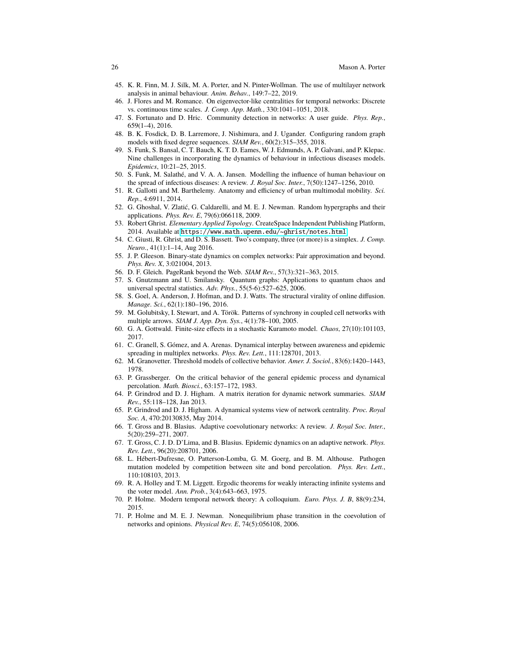- <span id="page-25-7"></span>45. K. R. Finn, M. J. Silk, M. A. Porter, and N. Pinter-Wollman. The use of multilayer network analysis in animal behaviour. *Anim. Behav.*, 149:7–22, 2019.
- <span id="page-25-6"></span>46. J. Flores and M. Romance. On eigenvector-like centralities for temporal networks: Discrete vs. continuous time scales. *J. Comp. App. Math.*, 330:1041–1051, 2018.
- <span id="page-25-3"></span>47. S. Fortunato and D. Hric. Community detection in networks: A user guide. *Phys. Rep.*, 659(1–4), 2016.
- <span id="page-25-26"></span>48. B. K. Fosdick, D. B. Larremore, J. Nishimura, and J. Ugander. Configuring random graph models with fixed degree sequences. *SIAM Rev.*, 60(2):315–355, 2018.
- <span id="page-25-16"></span>49. S. Funk, S. Bansal, C. T. Bauch, K. T. D. Eames, W. J. Edmunds, A. P. Galvani, and P. Klepac. Nine challenges in incorporating the dynamics of behaviour in infectious diseases models. *Epidemics*, 10:21–25, 2015.
- <span id="page-25-10"></span>50. S. Funk, M. Salathé, and V. A. A. Jansen. Modelling the influence of human behaviour on the spread of infectious diseases: A review. *J. Royal Soc. Inter.*, 7(50):1247–1256, 2010.
- <span id="page-25-15"></span>51. R. Gallotti and M. Barthelemy. Anatomy and efficiency of urban multimodal mobility. *Sci. Rep.*, 4:6911, 2014.
- <span id="page-25-23"></span>52. G. Ghoshal, V. Zlatić, G. Caldarelli, and M. E. J. Newman. Random hypergraphs and their applications. *Phys. Rev. E*, 79(6):066118, 2009.
- <span id="page-25-24"></span>53. Robert Ghrist. *Elementary Applied Topology*. CreateSpace Independent Publishing Platform, 2014. Available at <https://www.math.upenn.edu/~ghrist/notes.html>.
- <span id="page-25-25"></span>54. C. Giusti, R. Ghrist, and D. S. Bassett. Two's company, three (or more) is a simplex. *J. Comp. Neuro.*, 41(1):1–14, Aug 2016.
- <span id="page-25-8"></span>55. J. P. Gleeson. Binary-state dynamics on complex networks: Pair approximation and beyond. *Phys. Rev. X*, 3:021004, 2013.
- <span id="page-25-1"></span>56. D. F. Gleich. PageRank beyond the Web. *SIAM Rev.*, 57(3):321–363, 2015.
- <span id="page-25-18"></span>57. S. Gnutzmann and U. Smilansky. Quantum graphs: Applications to quantum chaos and universal spectral statistics. *Adv. Phys.*, 55(5-6):527–625, 2006.
- <span id="page-25-11"></span>58. S. Goel, A. Anderson, J. Hofman, and D. J. Watts. The structural virality of online diffusion. *Manage. Sci.*, 62(1):180–196, 2016.
- <span id="page-25-2"></span>59. M. Golubitsky, I. Stewart, and A. Török. Patterns of synchrony in coupled cell networks with multiple arrows. *SIAM J. App. Dyn. Sys.*, 4(1):78–100, 2005.
- <span id="page-25-14"></span>60. G. A. Gottwald. Finite-size effects in a stochastic Kuramoto model. *Chaos*, 27(10):101103, 2017.
- <span id="page-25-17"></span>61. C. Granell, S. Gómez, and A. Arenas. Dynamical interplay between awareness and epidemic spreading in multiplex networks. *Phys. Rev. Lett.*, 111:128701, 2013.
- <span id="page-25-9"></span>62. M. Granovetter. Threshold models of collective behavior. *Amer. J. Sociol.*, 83(6):1420–1443, 1978.
- <span id="page-25-12"></span>63. P. Grassberger. On the critical behavior of the general epidemic process and dynamical percolation. *Math. Biosci.*, 63:157–172, 1983.
- <span id="page-25-5"></span>64. P. Grindrod and D. J. Higham. A matrix iteration for dynamic network summaries. *SIAM Rev.*, 55:118–128, Jan 2013.
- <span id="page-25-4"></span>65. P. Grindrod and D. J. Higham. A dynamical systems view of network centrality. *Proc. Royal Soc. A*, 470:20130835, May 2014.
- <span id="page-25-19"></span>66. T. Gross and B. Blasius. Adaptive coevolutionary networks: A review. *J. Royal Soc. Inter.*, 5(20):259–271, 2007.
- <span id="page-25-20"></span>67. T. Gross, C. J. D. D'Lima, and B. Blasius. Epidemic dynamics on an adaptive network. *Phys. Rev. Lett.*, 96(20):208701, 2006.
- <span id="page-25-13"></span>68. L. Hébert-Dufresne, O. Patterson-Lomba, G. M. Goerg, and B. M. Althouse. Pathogen mutation modeled by competition between site and bond percolation. *Phys. Rev. Lett.*, 110:108103, 2013.
- <span id="page-25-21"></span>69. R. A. Holley and T. M. Liggett. Ergodic theorems for weakly interacting infinite systems and the voter model. *Ann. Prob.*, 3(4):643–663, 1975.
- <span id="page-25-0"></span>70. P. Holme. Modern temporal network theory: A colloquium. *Euro. Phys. J. B*, 88(9):234, 2015.
- <span id="page-25-22"></span>71. P. Holme and M. E. J. Newman. Nonequilibrium phase transition in the coevolution of networks and opinions. *Physical Rev. E*, 74(5):056108, 2006.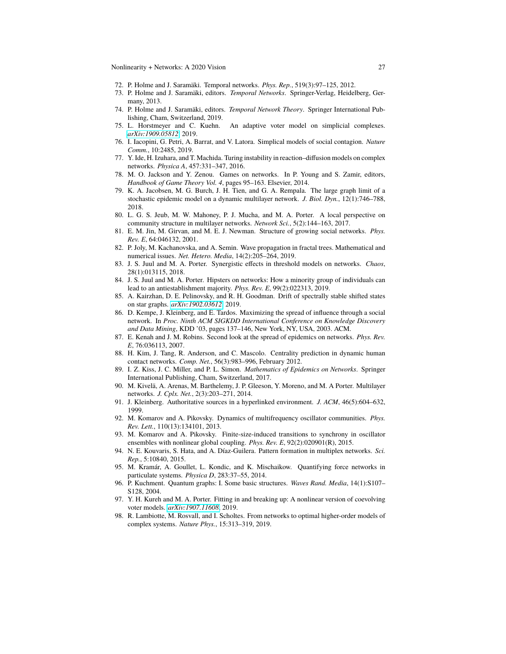- <span id="page-26-1"></span>72. P. Holme and J. Saramäki. Temporal networks. *Phys. Rep.*, 519(3):97–125, 2012.
- <span id="page-26-3"></span>73. P. Holme and J. Saramäki, editors. *Temporal Networks*. Springer-Verlag, Heidelberg, Germany, 2013.
- <span id="page-26-4"></span>74. P. Holme and J. Saramäki, editors. *Temporal Network Theory*. Springer International Publishing, Cham, Switzerland, 2019.
- <span id="page-26-25"></span>75. L. Horstmeyer and C. Kuehn. An adaptive voter model on simplicial complexes. *[arXiv:1909.05812](http://arxiv.org/abs/1909.05812)*, 2019.
- <span id="page-26-26"></span>76. I. Iacopini, G. Petri, A. Barrat, and V. Latora. Simplical models of social contagion. *Nature Comm.*, 10:2485, 2019.
- <span id="page-26-16"></span>77. Y. Ide, H. Izuhara, and T. Machida. Turing instability in reaction–diffusion models on complex networks. *Physica A*, 457:331–347, 2016.
- <span id="page-26-9"></span>78. M. O. Jackson and Y. Zenou. Games on networks. In P. Young and S. Zamir, editors, *Handbook of Game Theory Vol. 4*, pages 95–163. Elsevier, 2014.
- <span id="page-26-15"></span>79. K. A. Jacobsen, M. G. Burch, J. H. Tien, and G. A. Rempala. The large graph limit of a stochastic epidemic model on a dynamic multilayer network. *J. Biol. Dyn.*, 12(1):746–788, 2018.
- <span id="page-26-7"></span>80. L. G. S. Jeub, M. W. Mahoney, P. J. Mucha, and M. A. Porter. A local perspective on community structure in multilayer networks. *Network Sci.*, 5(2):144–163, 2017.
- <span id="page-26-8"></span>81. E. M. Jin, M. Girvan, and M. E. J. Newman. Structure of growing social networks. *Phys. Rev. E*, 64:046132, 2001.
- <span id="page-26-20"></span>82. P. Joly, M. Kachanovska, and A. Semin. Wave propagation in fractal trees. Mathematical and numerical issues. *Net. Hetero. Media*, 14(2):205–264, 2019.
- <span id="page-26-12"></span>83. J. S. Juul and M. A. Porter. Synergistic effects in threshold models on networks. *Chaos*, 28(1):013115, 2018.
- <span id="page-26-13"></span>84. J. S. Juul and M. A. Porter. Hipsters on networks: How a minority group of individuals can lead to an antiestablishment majority. *Phys. Rev. E*, 99(2):022313, 2019.
- <span id="page-26-19"></span>85. A. Kairzhan, D. E. Pelinovsky, and R. H. Goodman. Drift of spectrally stable shifted states on star graphs. *[arXiv:1902.03612](http://arxiv.org/abs/1902.03612)*, 2019.
- <span id="page-26-11"></span>86. D. Kempe, J. Kleinberg, and É. Tardos. Maximizing the spread of influence through a social network. In *Proc. Ninth ACM SIGKDD International Conference on Knowledge Discovery and Data Mining*, KDD '03, pages 137–146, New York, NY, USA, 2003. ACM.
- <span id="page-26-14"></span>87. E. Kenah and J. M. Robins. Second look at the spread of epidemics on networks. *Phys. Rev. E*, 76:036113, 2007.
- <span id="page-26-5"></span>88. H. Kim, J. Tang, R. Anderson, and C. Mascolo. Centrality prediction in dynamic human contact networks. *Comp. Net.*, 56(3):983–996, February 2012.
- <span id="page-26-10"></span>89. I. Z. Kiss, J. C. Miller, and P. L. Simon. *Mathematics of Epidemics on Networks*. Springer International Publishing, Cham, Switzerland, 2017.
- <span id="page-26-2"></span>90. M. Kivelä, A. Arenas, M. Barthelemy, J. P. Gleeson, Y. Moreno, and M. A Porter. Multilayer networks. *J. Cplx. Net.*, 2(3):203–271, 2014.
- <span id="page-26-6"></span>91. J. Kleinberg. Authoritative sources in a hyperlinked environment. *J. ACM*, 46(5):604–632, 1999.
- <span id="page-26-23"></span>92. M. Komarov and A. Pikovsky. Dynamics of multifrequency oscillator communities. *Phys. Rev. Lett.*, 110(13):134101, 2013.
- <span id="page-26-24"></span>93. M. Komarov and A. Pikovsky. Finite-size-induced transitions to synchrony in oscillator ensembles with nonlinear global coupling. *Phys. Rev. E*, 92(2):020901(R), 2015.
- <span id="page-26-17"></span>94. N. E. Kouvaris, S. Hata, and A. Díaz-Guilera. Pattern formation in multiplex networks. *Sci. Rep.*, 5:10840, 2015.
- <span id="page-26-22"></span>95. M. Kramár, A. Goullet, L. Kondic, and K. Mischaikow. Quantifying force networks in particulate systems. *Physica D*, 283:37–55, 2014.
- <span id="page-26-18"></span>96. P. Kuchment. Quantum graphs: I. Some basic structures. *Waves Rand. Media*, 14(1):S107– S128, 2004.
- <span id="page-26-21"></span>97. Y. H. Kureh and M. A. Porter. Fitting in and breaking up: A nonlinear version of coevolving voter models. *[arXiv:1907.11608](http://arxiv.org/abs/1907.11608)*, 2019.
- <span id="page-26-0"></span>98. R. Lambiotte, M. Rosvall, and I. Scholtes. From networks to optimal higher-order models of complex systems. *Nature Phys.*, 15:313–319, 2019.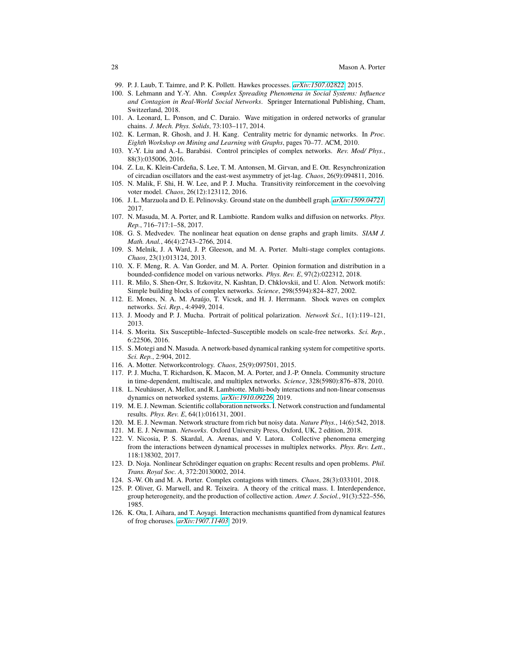- <span id="page-27-7"></span>99. P. J. Laub, T. Taimre, and P. K. Pollett. Hawkes processes. *[arXiv:1507.02822](http://arxiv.org/abs/1507.02822)*, 2015.
- <span id="page-27-8"></span>100. S. Lehmann and Y.-Y. Ahn. *Complex Spreading Phenomena in Social Systems: Influence and Contagion in Real-World Social Networks*. Springer International Publishing, Cham, Switzerland, 2018.
- <span id="page-27-24"></span>101. A. Leonard, L. Ponson, and C. Daraio. Wave mitigation in ordered networks of granular chains. *J. Mech. Phys. Solids*, 73:103–117, 2014.
- <span id="page-27-2"></span>102. K. Lerman, R. Ghosh, and J. H. Kang. Centrality metric for dynamic networks. In *Proc. Eighth Workshop on Mining and Learning with Graphs*, pages 70–77. ACM, 2010.
- <span id="page-27-9"></span>103. Y.-Y. Liu and A.-L. Barabási. Control principles of complex networks. *Rev. Mod/ Phys.*, 88(3):035006, 2016.
- <span id="page-27-17"></span>104. Z. Lu, K. Klein-Cardeña, S. Lee, T. M. Antonsen, M. Girvan, and E. Ott. Resynchronization of circadian oscillators and the east-west asymmetry of jet-lag. *Chaos*, 26(9):094811, 2016.
- <span id="page-27-25"></span>105. N. Malik, F. Shi, H. W. Lee, and P. J. Mucha. Transitivity reinforcement in the coevolving voter model. *Chaos*, 26(12):123112, 2016.
- <span id="page-27-23"></span>106. J. L. Marzuola and D. E. Pelinovsky. Ground state on the dumbbell graph. *[arXiv:1509.04721](http://arxiv.org/abs/1509.04721)*, 2017.
- <span id="page-27-14"></span>107. N. Masuda, M. A. Porter, and R. Lambiotte. Random walks and diffusion on networks. *Phys. Rep.*, 716–717:1–58, 2017.
- <span id="page-27-19"></span>108. G. S. Medvedev. The nonlinear heat equation on dense graphs and graph limits. *SIAM J. Math. Anal.*, 46(4):2743–2766, 2014.
- <span id="page-27-11"></span>109. S. Melnik, J. A Ward, J. P. Gleeson, and M. A. Porter. Multi-stage complex contagions. *Chaos*, 23(1):013124, 2013.
- <span id="page-27-15"></span>110. X. F. Meng, R. A. Van Gorder, and M. A. Porter. Opinion formation and distribution in a bounded-confidence model on various networks. *Phys. Rev. E*, 97(2):022312, 2018.
- <span id="page-27-1"></span>111. R. Milo, S. Shen-Orr, S. Itzkovitz, N. Kashtan, D. Chklovskii, and U. Alon. Network motifs: Simple building blocks of complex networks. *Science*, 298(5594):824–827, 2002.
- <span id="page-27-21"></span>112. E. Mones, N. A. M. Araújo, T. Vicsek, and H. J. Herrmann. Shock waves on complex networks. *Sci. Rep.*, 4:4949, 2014.
- <span id="page-27-5"></span>113. J. Moody and P. J. Mucha. Portrait of political polarization. *Network Sci.*, 1(1):119–121, 2013.
- <span id="page-27-16"></span>114. S. Morita. Six Susceptible–Infected–Susceptible models on scale-free networks. *Sci. Rep.*, 6:22506, 2016.
- <span id="page-27-6"></span>115. S. Motegi and N. Masuda. A network-based dynamical ranking system for competitive sports. *Sci. Rep.*, 2:904, 2012.
- <span id="page-27-10"></span>116. A. Motter. Networkcontrology. *Chaos*, 25(9):097501, 2015.
- <span id="page-27-4"></span>117. P. J. Mucha, T. Richardson, K. Macon, M. A. Porter, and J.-P. Onnela. Community structure in time-dependent, multiscale, and multiplex networks. *Science*, 328(5980):876–878, 2010.
- <span id="page-27-27"></span>118. L. Neuhäuser, A. Mellor, and R. Lambiotte. Multi-body interactions and non-linear consensus dynamics on networked systems. *[arXiv:1910.09226](http://arxiv.org/abs/1910.09226)*, 2019.
- <span id="page-27-26"></span>119. M. E. J. Newman. Scientific collaboration networks. I. Network construction and fundamental results. *Phys. Rev. E*, 64(1):016131, 2001.
- <span id="page-27-3"></span>120. M. E. J. Newman. Network structure from rich but noisy data. *Nature Phys.*, 14(6):542, 2018.
- <span id="page-27-0"></span>121. M. E. J. Newman. *Networks*. Oxford University Press, Oxford, UK, 2 edition, 2018.
- <span id="page-27-20"></span>122. V. Nicosia, P. S. Skardal, A. Arenas, and V. Latora. Collective phenomena emerging from the interactions between dynamical processes in multiplex networks. *Phys. Rev. Lett.*, 118:138302, 2017.
- <span id="page-27-22"></span>123. D. Noja. Nonlinear Schrödinger equation on graphs: Recent results and open problems. *Phil. Trans. Royal Soc. A*, 372:20130002, 2014.
- <span id="page-27-12"></span>124. S.-W. Oh and M. A. Porter. Complex contagions with timers. *Chaos*, 28(3):033101, 2018.
- <span id="page-27-13"></span>125. P. Oliver, G. Marwell, and R. Teixeira. A theory of the critical mass. I. Interdependence, group heterogeneity, and the production of collective action. *Amer. J. Sociol.*, 91(3):522–556, 1985.
- <span id="page-27-18"></span>126. K. Ota, I. Aihara, and T. Aoyagi. Interaction mechanisms quantified from dynamical features of frog choruses. *[arXiv:1907.11403](http://arxiv.org/abs/1907.11403)*, 2019.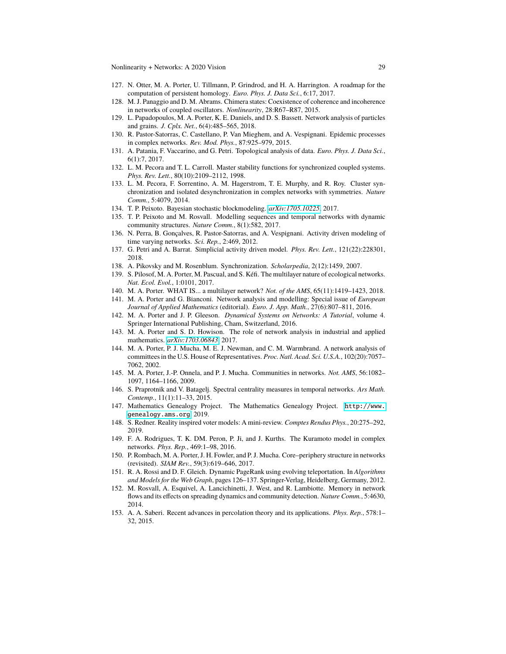- <span id="page-28-5"></span>127. N. Otter, M. A. Porter, U. Tillmann, P. Grindrod, and H. A. Harrington. A roadmap for the computation of persistent homology. *Euro. Phys. J. Data Sci.*, 6:17, 2017.
- <span id="page-28-25"></span>128. M. J. Panaggio and D. M. Abrams. Chimera states: Coexistence of coherence and incoherence in networks of coupled oscillators. *Nonlinearity*, 28:R67–R87, 2015.
- <span id="page-28-14"></span>129. L. Papadopoulos, M. A. Porter, K. E. Daniels, and D. S. Bassett. Network analysis of particles and grains. *J. Cplx. Net.*, 6(4):485–565, 2018.
- <span id="page-28-19"></span>130. R. Pastor-Satorras, C. Castellano, P. Van Mieghem, and A. Vespignani. Epidemic processes in complex networks. *Rev. Mod. Phys.*, 87:925–979, 2015.
- <span id="page-28-6"></span>131. A. Patania, F. Vaccarino, and G. Petri. Topological analysis of data. *Euro. Phys. J. Data Sci.*, 6(1):7, 2017.
- <span id="page-28-23"></span>132. L. M. Pecora and T. L. Carroll. Master stability functions for synchronized coupled systems. *Phys. Rev. Lett.*, 80(10):2109–2112, 1998.
- <span id="page-28-24"></span>133. L. M. Pecora, F. Sorrentino, A. M. Hagerstrom, T. E. Murphy, and R. Roy. Cluster synchronization and isolated desynchronization in complex networks with symmetries. *Nature Comm.*, 5:4079, 2014.
- <span id="page-28-9"></span>134. T. P. Peixoto. Bayesian stochastic blockmodeling. *[arXiv:1705.10225](http://arxiv.org/abs/1705.10225)*, 2017.
- <span id="page-28-13"></span>135. T. P. Peixoto and M. Rosvall. Modelling sequences and temporal networks with dynamic community structures. *Nature Comm.*, 8(1):582, 2017.
- <span id="page-28-16"></span>136. N. Perra, B. Gonçalves, R. Pastor-Satorras, and A. Vespignani. Activity driven modeling of time varying networks. *Sci. Rep.*, 2:469, 2012.
- <span id="page-28-17"></span>137. G. Petri and A. Barrat. Simplicial activity driven model. *Phys. Rev. Lett.*, 121(22):228301, 2018.
- <span id="page-28-22"></span>138. A. Pikovsky and M. Rosenblum. Synchronization. *Scholarpedia*, 2(12):1459, 2007.
- <span id="page-28-15"></span>139. S. Pilosof, M. A. Porter, M. Pascual, and S. Kéfi. The multilayer nature of ecological networks. *Nat. Ecol. Evol.*, 1:0101, 2017.
- <span id="page-28-2"></span>140. M. A. Porter. WHAT IS... a multilayer network? *Not. of the AMS*, 65(11):1419–1423, 2018.
- <span id="page-28-0"></span>141. M. A. Porter and G. Bianconi. Network analysis and modelling: Special issue of *European Journal of Applied Mathematics* (editorial). *Euro. J. App. Math.*, 27(6):807–811, 2016.
- <span id="page-28-3"></span>142. M. A. Porter and J. P. Gleeson. *Dynamical Systems on Networks: A Tutorial*, volume 4. Springer International Publishing, Cham, Switzerland, 2016.
- <span id="page-28-1"></span>143. M. A. Porter and S. D. Howison. The role of network analysis in industrial and applied mathematics. *[arXiv:1703.06843](http://arxiv.org/abs/1703.06843)*, 2017.
- <span id="page-28-26"></span>144. M. A. Porter, P. J. Mucha, M. E. J. Newman, and C. M. Warmbrand. A network analysis of committees in the U.S. House of Representatives. *Proc. Natl. Acad. Sci. U.S.A.*, 102(20):7057– 7062, 2002.
- <span id="page-28-7"></span>145. M. A. Porter, J.-P. Onnela, and P. J. Mucha. Communities in networks. *Not. AMS*, 56:1082– 1097, 1164–1166, 2009.
- <span id="page-28-11"></span>146. S. Praprotnik and V. Batagelj. Spectral centrality measures in temporal networks. *Ars Math. Contemp.*, 11(1):11–33, 2015.
- <span id="page-28-12"></span>147. Mathematics Genealogy Project. The Mathematics Genealogy Project. [http://www.](http://www.genealogy.ams.org) [genealogy.ams.org](http://www.genealogy.ams.org), 2019.
- <span id="page-28-21"></span>148. S. Redner. Reality inspired voter models: A mini-review. *Comptes Rendus Phys.*, 20:275–292, 2019.
- <span id="page-28-18"></span>149. F. A. Rodrigues, T. K. DM. Peron, P. Ji, and J. Kurths. The Kuramoto model in complex networks. *Phys. Rep.*, 469:1–98, 2016.
- <span id="page-28-8"></span>150. P. Rombach, M. A. Porter, J. H. Fowler, and P. J. Mucha. Core–periphery structure in networks (revisited). *SIAM Rev.*, 59(3):619–646, 2017.
- <span id="page-28-10"></span>151. R. A. Rossi and D. F. Gleich. Dynamic PageRank using evolving teleportation. In *Algorithms and Models for the Web Graph*, pages 126–137. Springer-Verlag, Heidelberg, Germany, 2012.
- <span id="page-28-4"></span>152. M. Rosvall, A. Esquivel, A. Lancichinetti, J. West, and R. Lambiotte. Memory in network flows and its effects on spreading dynamics and community detection. *Nature Comm.*, 5:4630, 2014.
- <span id="page-28-20"></span>153. A. A. Saberi. Recent advances in percolation theory and its applications. *Phys. Rep.*, 578:1– 32, 2015.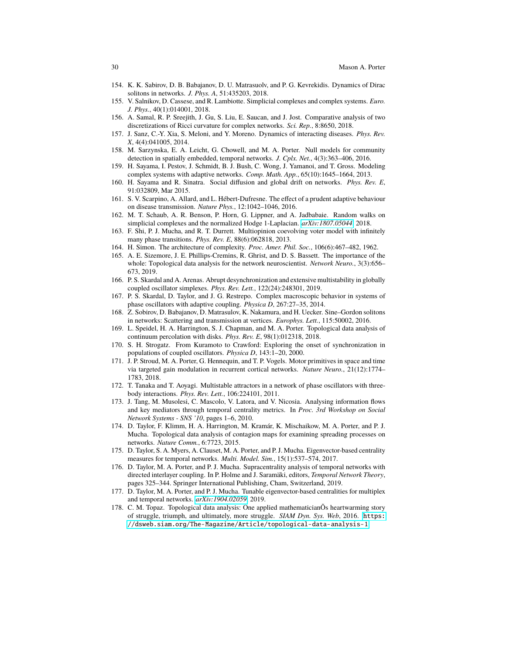- <span id="page-29-10"></span>154. K. K. Sabirov, D. B. Babajanov, D. U. Matrasuolv, and P. G. Kevrekidis. Dynamics of Dirac solitons in networks. *J. Phys. A*, 51:435203, 2018.
- <span id="page-29-21"></span>155. V. Salnikov, D. Cassese, and R. Lambiotte. Simplicial complexes and complex systems. *Euro. J. Phys.*, 40(1):014001, 2018.
- <span id="page-29-18"></span>156. A. Samal, R. P. Sreejith, J. Gu, S. Liu, E. Saucan, and J. Jost. Comparative analysis of two discretizations of Ricci curvature for complex networks. *Sci. Rep.*, 8:8650, 2018.
- <span id="page-29-9"></span>157. J. Sanz, C.-Y. Xia, S. Meloni, and Y. Moreno. Dynamics of interacting diseases. *Phys. Rev. X*, 4(4):041005, 2014.
- <span id="page-29-4"></span>158. M. Sarzynska, E. A. Leicht, G. Chowell, and M. A. Porter. Null models for community detection in spatially embedded, temporal networks. *J. Cplx. Net.*, 4(3):363–406, 2016.
- <span id="page-29-12"></span>159. H. Sayama, I. Pestov, J. Schmidt, B. J. Bush, C. Wong, J. Yamanoi, and T. Gross. Modeling complex systems with adaptive networks. *Comp. Math. App.*, 65(10):1645–1664, 2013.
- <span id="page-29-13"></span>160. H. Sayama and R. Sinatra. Social diffusion and global drift on networks. *Phys. Rev. E*, 91:032809, Mar 2015.
- <span id="page-29-7"></span>161. S. V. Scarpino, A. Allard, and L. Hébert-Dufresne. The effect of a prudent adaptive behaviour on disease transmission. *Nature Phys.*, 12:1042–1046, 2016.
- <span id="page-29-22"></span>162. M. T. Schaub, A. R. Benson, P. Horn, G. Lippner, and A. Jadbabaie. Random walks on simplicial complexes and the normalized Hodge 1-Laplacian. *[arXiv:1807.05044](http://arxiv.org/abs/1807.05044)*, 2018.
- <span id="page-29-14"></span>163. F. Shi, P. J. Mucha, and R. T. Durrett. Multiopinion coevolving voter model with infinitely many phase transitions. *Phys. Rev. E*, 88(6):062818, 2013.
- <span id="page-29-1"></span>164. H. Simon. The architecture of complexity. *Proc. Amer. Phil. Soc.*, 106(6):467–482, 1962.
- <span id="page-29-19"></span>165. A. E. Sizemore, J. E. Phillips-Cremins, R. Ghrist, and D. S. Bassett. The importance of the whole: Topological data analysis for the network neuroscientist. *Network Neuro.*, 3(3):656– 673, 2019.
- <span id="page-29-24"></span>166. P. S. Skardal and A. Arenas. Abrupt desynchronization and extensive multistability in globally coupled oscillator simplexes. *Phys. Rev. Lett.*, 122(24):248301, 2019.
- <span id="page-29-16"></span>167. P. S. Skardal, D. Taylor, and J. G. Restrepo. Complex macroscopic behavior in systems of phase oscillators with adaptive coupling. *Physica D*, 267:27–35, 2014.
- <span id="page-29-11"></span>168. Z. Sobirov, D. Babajanov, D. Matrasulov, K. Nakamura, and H. Uecker. Sine–Gordon solitons in networks: Scattering and transmission at vertices. *Europhys. Lett.*, 115:50002, 2016.
- <span id="page-29-20"></span>169. L. Speidel, H. A. Harrington, S. J. Chapman, and M. A. Porter. Topological data analysis of continuum percolation with disks. *Phys. Rev. E*, 98(1):012318, 2018.
- <span id="page-29-8"></span>170. S. H. Strogatz. From Kuramoto to Crawford: Exploring the onset of synchronization in populations of coupled oscillators. *Physica D*, 143:1–20, 2000.
- <span id="page-29-15"></span>171. J. P. Stroud, M. A. Porter, G. Hennequin, and T. P. Vogels. Motor primitives in space and time via targeted gain modulation in recurrent cortical networks. *Nature Neuro.*, 21(12):1774– 1783, 2018.
- <span id="page-29-23"></span>172. T. Tanaka and T. Aoyagi. Multistable attractors in a network of phase oscillators with threebody interactions. *Phys. Rev. Lett.*, 106:224101, 2011.
- <span id="page-29-2"></span>173. J. Tang, M. Musolesi, C. Mascolo, V. Latora, and V. Nicosia. Analysing information flows and key mediators through temporal centrality metrics. In *Proc. 3rd Workshop on Social Network Systems - SNS '10*, pages 1–6, 2010.
- <span id="page-29-6"></span>174. D. Taylor, F. Klimm, H. A. Harrington, M. Kramár, K. Mischaikow, M. A. Porter, and P. J. Mucha. Topological data analysis of contagion maps for examining spreading processes on networks. *Nature Comm.*, 6:7723, 2015.
- <span id="page-29-3"></span>175. D. Taylor, S. A. Myers, A. Clauset, M. A. Porter, and P. J. Mucha. Eigenvector-based centrality measures for temporal networks. *Multi. Model. Sim.*, 15(1):537–574, 2017.
- <span id="page-29-0"></span>176. D. Taylor, M. A. Porter, and P. J. Mucha. Supracentrality analysis of temporal networks with directed interlayer coupling. In P. Holme and J. Saramäki, editors, *Temporal Network Theory*, pages 325–344. Springer International Publishing, Cham, Switzerland, 2019.
- <span id="page-29-5"></span>177. D. Taylor, M. A. Porter, and P. J. Mucha. Tunable eigenvector-based centralities for multiplex and temporal networks. *[arXiv:1904.02059](http://arxiv.org/abs/1904.02059)*, 2019.
- <span id="page-29-17"></span>178. C. M. Topaz. Topological data analysis: One applied mathematicianÕs heartwarming story of struggle, triumph, and ultimately, more struggle. *SIAM Dyn. Sys. Web*, 2016. [https:](https://dsweb.siam.org/The-Magazine/Article/topological-data-analysis-1) [//dsweb.siam.org/The-Magazine/Article/topological-data-analysis-1](https://dsweb.siam.org/The-Magazine/Article/topological-data-analysis-1).